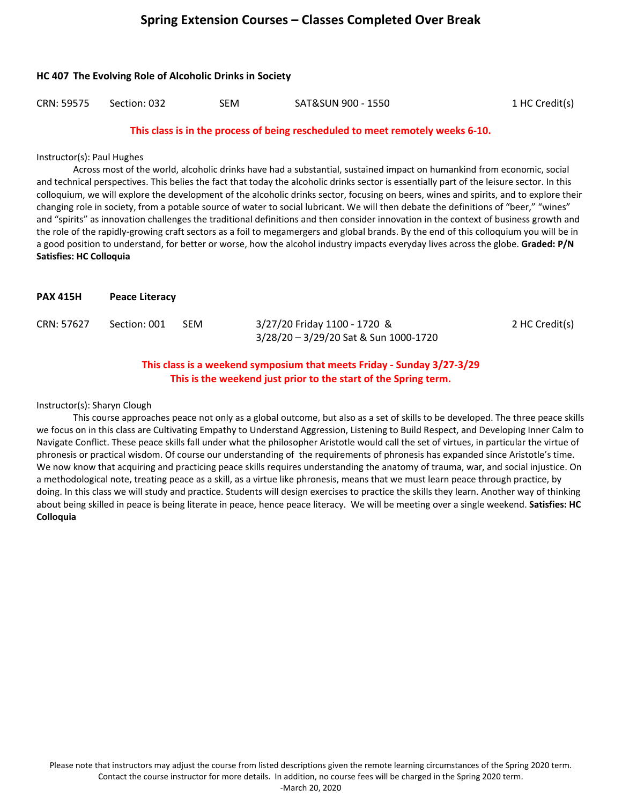# **Spring Extension Courses – Classes Completed Over Break**

|            | <b>HC 407 The Evolving Role of Alcoholic Drinks in Society</b> |            |                                                                               |                |  |  |  |
|------------|----------------------------------------------------------------|------------|-------------------------------------------------------------------------------|----------------|--|--|--|
| CRN: 59575 | Section: 032                                                   | <b>SEM</b> | SAT&SUN 900 - 1550                                                            | 1 HC Credit(s) |  |  |  |
|            |                                                                |            | This class is in the process of heing rescheduled to meet remotely weeks 6-10 |                |  |  |  |

## **This class is in the process of being rescheduled to meet remotely weeks 6-10.**

## Instructor(s): Paul Hughes

Across most of the world, alcoholic drinks have had a substantial, sustained impact on humankind from economic, social and technical perspectives. This belies the fact that today the alcoholic drinks sector is essentially part of the leisure sector. In this colloquium, we will explore the development of the alcoholic drinks sector, focusing on beers, wines and spirits, and to explore their changing role in society, from a potable source of water to social lubricant. We will then debate the definitions of "beer," "wines" and "spirits" as innovation challenges the traditional definitions and then consider innovation in the context of business growth and the role of the rapidly-growing craft sectors as a foil to megamergers and global brands. By the end of this colloquium you will be in a good position to understand, for better or worse, how the alcohol industry impacts everyday lives across the globe. **Graded: P/N Satisfies: HC Colloquia** 

| <b>PAX 415H</b> | <b>Peace Literacy</b> |            |                                                                       |                |
|-----------------|-----------------------|------------|-----------------------------------------------------------------------|----------------|
| CRN: 57627      | Section: 001          | <b>SEM</b> | 3/27/20 Friday 1100 - 1720 &<br>3/28/20 - 3/29/20 Sat & Sun 1000-1720 | 2 HC Credit(s) |

## **This class is a weekend symposium that meets Friday - Sunday 3/27-3/29 This is the weekend just prior to the start of the Spring term.**

Instructor(s): Sharyn Clough

This course approaches peace not only as a global outcome, but also as a set of skills to be developed. The three peace skills we focus on in this class are Cultivating Empathy to Understand Aggression, Listening to Build Respect, and Developing Inner Calm to Navigate Conflict. These peace skills fall under what the philosopher Aristotle would call the set of virtues, in particular the virtue of phronesis or practical wisdom. Of course our understanding of the requirements of phronesis has expanded since Aristotle's time. We now know that acquiring and practicing peace skills requires understanding the anatomy of trauma, war, and social injustice. On a methodological note, treating peace as a skill, as a virtue like phronesis, means that we must learn peace through practice, by doing. In this class we will study and practice. Students will design exercises to practice the skills they learn. Another way of thinking about being skilled in peace is being literate in peace, hence peace literacy. We will be meeting over a single weekend. **Satisfies: HC Colloquia**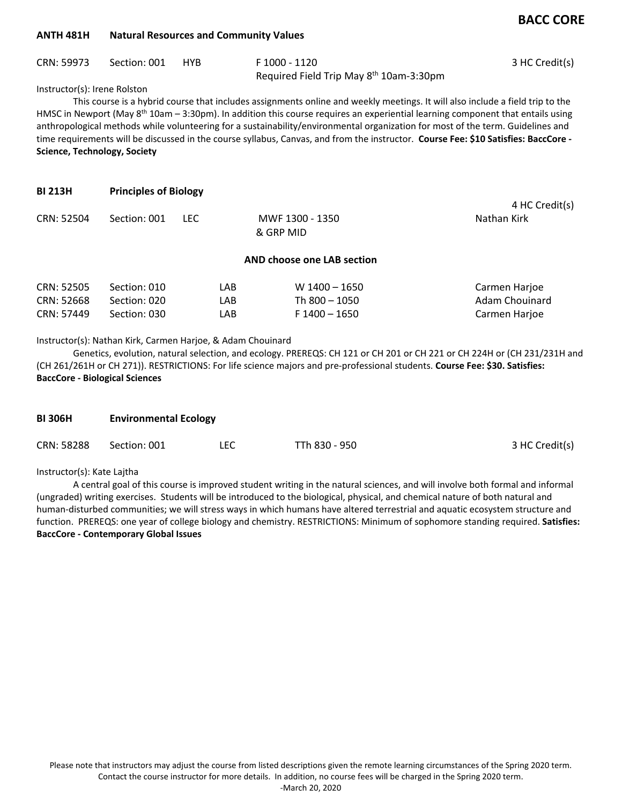## **BACC CORE**

#### **ANTH 481H Natural Resources and Community Values**

|  | F 1000 - 1120                                       | 3 HC Credit(s) |
|--|-----------------------------------------------------|----------------|
|  | Required Field Trip May 8 <sup>th</sup> 10am-3:30pm |                |

Instructor(s): Irene Rolston

This course is a hybrid course that includes assignments online and weekly meetings. It will also include a field trip to the HMSC in Newport (May 8<sup>th</sup> 10am - 3:30pm). In addition this course requires an experiential learning component that entails using anthropological methods while volunteering for a sustainability/environmental organization for most of the term. Guidelines and time requirements will be discussed in the course syllabus, Canvas, and from the instructor. **Course Fee: \$10 Satisfies: BaccCore - Science, Technology, Society**

| <b>BI 213H</b> | <b>Principles of Biology</b> |      |                              |                |
|----------------|------------------------------|------|------------------------------|----------------|
|                |                              |      |                              | 4 HC Credit(s) |
| CRN: 52504     | Section: 001                 | LEC. | MWF 1300 - 1350<br>& GRP MID | Nathan Kirk    |

#### **AND choose one LAB section**

| CRN: 52505 | Section: 010 | LAB  | $W$ 1400 – 1650 | Carmen Harjoe  |
|------------|--------------|------|-----------------|----------------|
| CRN: 52668 | Section: 020 | LAB. | Th 800 – 1050   | Adam Chouinard |
| CRN: 57449 | Section: 030 | LAB  | F 1400 - 1650   | Carmen Harjoe  |

Instructor(s): Nathan Kirk, Carmen Harjoe, & Adam Chouinard

Genetics, evolution, natural selection, and ecology. PREREQS: CH 121 or CH 201 or CH 221 or CH 224H or (CH 231/231H and (CH 261/261H or CH 271)). RESTRICTIONS: For life science majors and pre-professional students. **Course Fee: \$30. Satisfies: BaccCore - Biological Sciences**

| <b>BI 306H</b> | <b>Environmental Ecology</b> |     |               |                |  |
|----------------|------------------------------|-----|---------------|----------------|--|
| CRN: 58288     | Section: 001                 | LEC | TTh 830 - 950 | 3 HC Credit(s) |  |

Instructor(s): Kate Lajtha

A central goal of this course is improved student writing in the natural sciences, and will involve both formal and informal (ungraded) writing exercises. Students will be introduced to the biological, physical, and chemical nature of both natural and human-disturbed communities; we will stress ways in which humans have altered terrestrial and aquatic ecosystem structure and function. PREREQS: one year of college biology and chemistry. RESTRICTIONS: Minimum of sophomore standing required. **Satisfies: BaccCore - Contemporary Global Issues**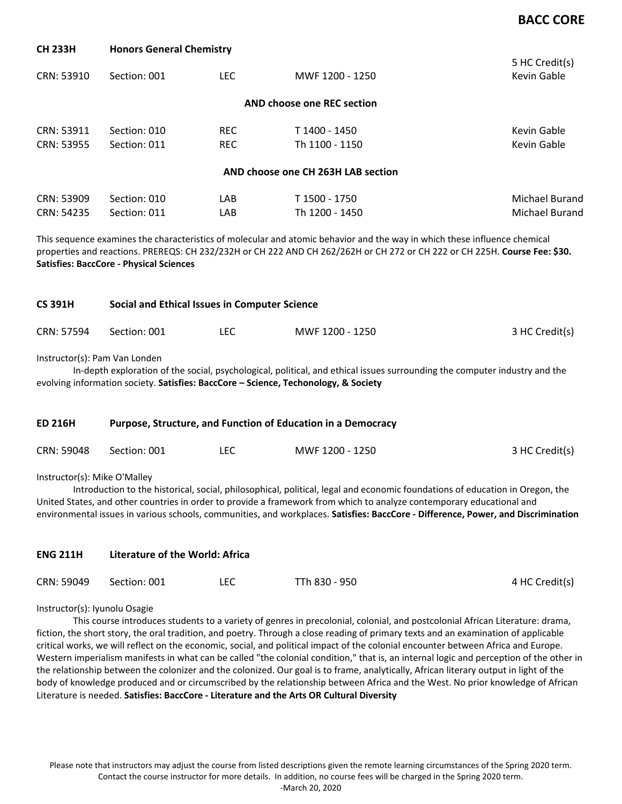## **BACC CORE**

| UU 69911   | <b>TIONUS OCHCIGI CHCHIISU V</b> |            |                                    |                               |
|------------|----------------------------------|------------|------------------------------------|-------------------------------|
| CRN: 53910 | Section: 001                     | LEC.       | MWF 1200 - 1250                    | 5 HC Credit(s)<br>Kevin Gable |
|            |                                  |            | AND choose one REC section         |                               |
| CRN: 53911 | Section: 010                     | <b>REC</b> | T 1400 - 1450                      | Kevin Gable                   |
| CRN: 53955 | Section: 011                     | REC.       | Th 1100 - 1150                     | Kevin Gable                   |
|            |                                  |            | AND choose one CH 263H LAB section |                               |
| CRN: 53909 | Section: 010                     | LAB        | T 1500 - 1750                      | <b>Michael Burand</b>         |
| CRN: 54235 | Section: 011                     | LAB        | Th 1200 - 1450                     | Michael Burand                |

This sequence examines the characteristics of molecular and atomic behavior and the way in which these influence chemical properties and reactions. PREREQS: CH 232/232H or CH 222 AND CH 262/262H or CH 272 or CH 222 or CH 225H. **Course Fee: \$30. Satisfies: BaccCore - Physical Sciences**

| <b>CS 391H</b> | Social and Ethical Issues in Computer Science |     |                 |                |  |
|----------------|-----------------------------------------------|-----|-----------------|----------------|--|
| CRN: 57594     | Section: 001                                  | LEC | MWF 1200 - 1250 | 3 HC Credit(s) |  |

Instructor(s): Pam Van Londen

**CH 233H Honors General Chemistry**

In-depth exploration of the social, psychological, political, and ethical issues surrounding the computer industry and the evolving information society. **Satisfies: BaccCore – Science, Techonology, & Society**

| <b>ED 216H</b>               | Purpose, Structure, and Function of Education in a Democracy |      |                 |                |  |  |
|------------------------------|--------------------------------------------------------------|------|-----------------|----------------|--|--|
| CRN: 59048                   | Section: 001                                                 | LEC. | MWF 1200 - 1250 | 3 HC Credit(s) |  |  |
| Instructor(s): Mike O'Malley |                                                              |      |                 |                |  |  |

Introduction to the historical, social, philosophical, political, legal and economic foundations of education in Oregon, the United States, and other countries in order to provide a framework from which to analyze contemporary educational and environmental issues in various schools, communities, and workplaces. **Satisfies: BaccCore - Difference, Power, and Discrimination**

| <b>ENG 211H</b> | Literature of the World: Africa |      |               |                |  |
|-----------------|---------------------------------|------|---------------|----------------|--|
| CRN: 59049      | Section: 001                    | LEC. | TTh 830 - 950 | 4 HC Credit(s) |  |

Instructor(s): Iyunolu Osagie

This course introduces students to a variety of genres in precolonial, colonial, and postcolonial African Literature: drama, fiction, the short story, the oral tradition, and poetry. Through a close reading of primary texts and an examination of applicable critical works, we will reflect on the economic, social, and political impact of the colonial encounter between Africa and Europe. Western imperialism manifests in what can be called "the colonial condition," that is, an internal logic and perception of the other in the relationship between the colonizer and the colonized. Our goal is to frame, analytically, African literary output in light of the body of knowledge produced and or circumscribed by the relationship between Africa and the West. No prior knowledge of African Literature is needed. **Satisfies: BaccCore - Literature and the Arts OR Cultural Diversity**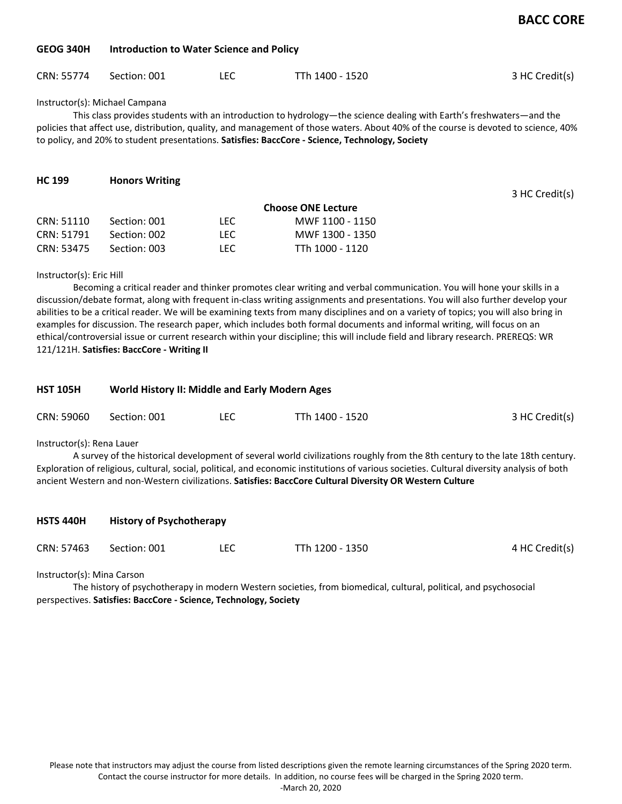### **GEOG 340H Introduction to Water Science and Policy**

| CRN: 55774 | Section: 001 |  | TTh 1400 - 1520 | 3 HC Credit(s) |
|------------|--------------|--|-----------------|----------------|
|------------|--------------|--|-----------------|----------------|

Instructor(s): Michael Campana

This class provides students with an introduction to hydrology—the science dealing with Earth's freshwaters—and the policies that affect use, distribution, quality, and management of those waters. About 40% of the course is devoted to science, 40% to policy, and 20% to student presentations. **Satisfies: BaccCore - Science, Technology, Society**

| <b>HC 199</b> | <b>Honors Writing</b> |            |                           |                |
|---------------|-----------------------|------------|---------------------------|----------------|
|               |                       |            |                           | 3 HC Credit(s) |
|               |                       |            | <b>Choose ONE Lecture</b> |                |
| CRN: 51110    | Section: 001          | LEC.       | MWF 1100 - 1150           |                |
| CRN: 51791    | Section: 002          | <b>LEC</b> | MWF 1300 - 1350           |                |
| CRN: 53475    | Section: 003          | LEC.       | TTh 1000 - 1120           |                |

#### Instructor(s): Eric Hill

Becoming a critical reader and thinker promotes clear writing and verbal communication. You will hone your skills in a discussion/debate format, along with frequent in-class writing assignments and presentations. You will also further develop your abilities to be a critical reader. We will be examining texts from many disciplines and on a variety of topics; you will also bring in examples for discussion. The research paper, which includes both formal documents and informal writing, will focus on an ethical/controversial issue or current research within your discipline; this will include field and library research. PREREQS: WR 121/121H. **Satisfies: BaccCore - Writing II**

| <b>HST 105H</b> |              | <b>World History II: Middle and Early Modern Ages</b> |                 |                |  |  |
|-----------------|--------------|-------------------------------------------------------|-----------------|----------------|--|--|
| CRN: 59060      | Section: 001 | LEC                                                   | TTh 1400 - 1520 | 3 HC Credit(s) |  |  |

Instructor(s): Rena Lauer

A survey of the historical development of several world civilizations roughly from the 8th century to the late 18th century. Exploration of religious, cultural, social, political, and economic institutions of various societies. Cultural diversity analysis of both ancient Western and non-Western civilizations. **Satisfies: BaccCore Cultural Diversity OR Western Culture**

| <b>HSTS 440H</b> | <b>History of Psychotherapy</b> |     |                 |                |  |  |
|------------------|---------------------------------|-----|-----------------|----------------|--|--|
| CRN: 57463       | Section: 001                    | LEC | TTh 1200 - 1350 | 4 HC Credit(s) |  |  |

Instructor(s): Mina Carson

The history of psychotherapy in modern Western societies, from biomedical, cultural, political, and psychosocial perspectives. **Satisfies: BaccCore - Science, Technology, Society**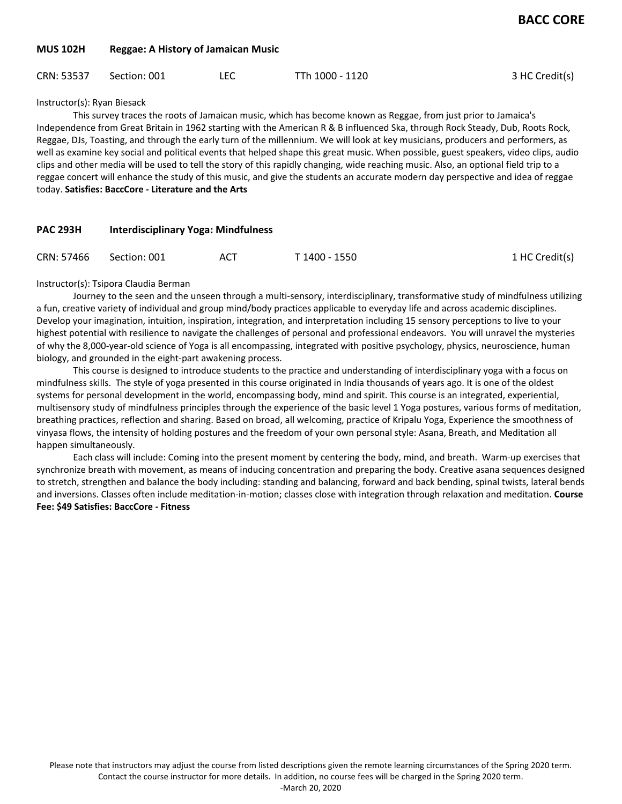### **MUS 102H Reggae: A History of Jamaican Music**

| 3 HC Credit(s)<br>CRN: 53537<br>TTh 1000 - 1120<br>LEC<br>Section: 001 |  |
|------------------------------------------------------------------------|--|
|------------------------------------------------------------------------|--|

Instructor(s): Ryan Biesack

This survey traces the roots of Jamaican music, which has become known as Reggae, from just prior to Jamaica's Independence from Great Britain in 1962 starting with the American R & B influenced Ska, through Rock Steady, Dub, Roots Rock, Reggae, DJs, Toasting, and through the early turn of the millennium. We will look at key musicians, producers and performers, as well as examine key social and political events that helped shape this great music. When possible, guest speakers, video clips, audio clips and other media will be used to tell the story of this rapidly changing, wide reaching music. Also, an optional field trip to a reggae concert will enhance the study of this music, and give the students an accurate modern day perspective and idea of reggae today. **Satisfies: BaccCore - Literature and the Arts**

| <b>PAC 293H</b> |              | Interdisciplinary Yoga: Mindfulness |               |                |  |  |
|-----------------|--------------|-------------------------------------|---------------|----------------|--|--|
| CRN: 57466      | Section: 001 | ACT                                 | T 1400 - 1550 | 1 HC Credit(s) |  |  |

#### Instructor(s): Tsipora Claudia Berman

Journey to the seen and the unseen through a multi-sensory, interdisciplinary, transformative study of mindfulness utilizing a fun, creative variety of individual and group mind/body practices applicable to everyday life and across academic disciplines. Develop your imagination, intuition, inspiration, integration, and interpretation including 15 sensory perceptions to live to your highest potential with resilience to navigate the challenges of personal and professional endeavors. You will unravel the mysteries of why the 8,000-year-old science of Yoga is all encompassing, integrated with positive psychology, physics, neuroscience, human biology, and grounded in the eight-part awakening process.

This course is designed to introduce students to the practice and understanding of interdisciplinary yoga with a focus on mindfulness skills. The style of yoga presented in this course originated in India thousands of years ago. It is one of the oldest systems for personal development in the world, encompassing body, mind and spirit. This course is an integrated, experiential, multisensory study of mindfulness principles through the experience of the basic level 1 Yoga postures, various forms of meditation, breathing practices, reflection and sharing. Based on broad, all welcoming, practice of Kripalu Yoga, Experience the smoothness of vinyasa flows, the intensity of holding postures and the freedom of your own personal style: Asana, Breath, and Meditation all happen simultaneously.

Each class will include: Coming into the present moment by centering the body, mind, and breath. Warm-up exercises that synchronize breath with movement, as means of inducing concentration and preparing the body. Creative asana sequences designed to stretch, strengthen and balance the body including: standing and balancing, forward and back bending, spinal twists, lateral bends and inversions. Classes often include meditation-in-motion; classes close with integration through relaxation and meditation. **Course Fee: \$49 Satisfies: BaccCore - Fitness**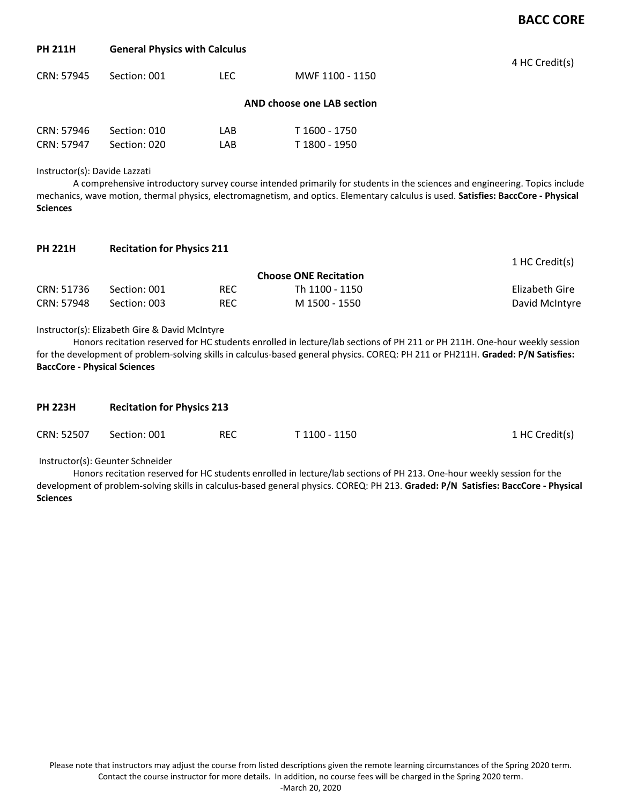## **BACC CORE**

1 HC Credit(s)

### **PH 211H General Physics with Calculus**

| CRN: 57945 | Section: 001 | LEC. | MWF 1100 - 1150            | 4 HC Credit(s) |
|------------|--------------|------|----------------------------|----------------|
|            |              |      | AND choose one LAB section |                |
| CRN: 57946 | Section: 010 | LAB  | T 1600 - 1750              |                |
| CRN: 57947 | Section: 020 | LAB  | T 1800 - 1950              |                |

Instructor(s): Davide Lazzati

A comprehensive introductory survey course intended primarily for students in the sciences and engineering. Topics include mechanics, wave motion, thermal physics, electromagnetism, and optics. Elementary calculus is used. **Satisfies: BaccCore - Physical Sciences**

| PH 221H | <b>Recitation for Physics 211</b> |  |  |
|---------|-----------------------------------|--|--|
|---------|-----------------------------------|--|--|

|            |              |            | <b>Choose ONE Recitation</b> | $+110$ creaters, |
|------------|--------------|------------|------------------------------|------------------|
| CRN: 51736 | Section: 001 | <b>REC</b> | Th 1100 - 1150               | Elizabeth Gire   |
| CRN: 57948 | Section: 003 | REC        | M 1500 - 1550                | David McIntyre   |

#### Instructor(s): Elizabeth Gire & David McIntyre

Honors recitation reserved for HC students enrolled in lecture/lab sections of PH 211 or PH 211H. One-hour weekly session for the development of problem-solving skills in calculus-based general physics. COREQ: PH 211 or PH211H. **Graded: P/N Satisfies: BaccCore - Physical Sciences**

| <b>PH 223H</b> |              | <b>Recitation for Physics 213</b> |               |                |  |  |  |
|----------------|--------------|-----------------------------------|---------------|----------------|--|--|--|
| CRN: 52507     | Section: 001 | REC                               | T 1100 - 1150 | 1 HC Credit(s) |  |  |  |

Instructor(s): Geunter Schneider

Honors recitation reserved for HC students enrolled in lecture/lab sections of PH 213. One-hour weekly session for the development of problem-solving skills in calculus-based general physics. COREQ: PH 213. **Graded: P/N Satisfies: BaccCore - Physical Sciences**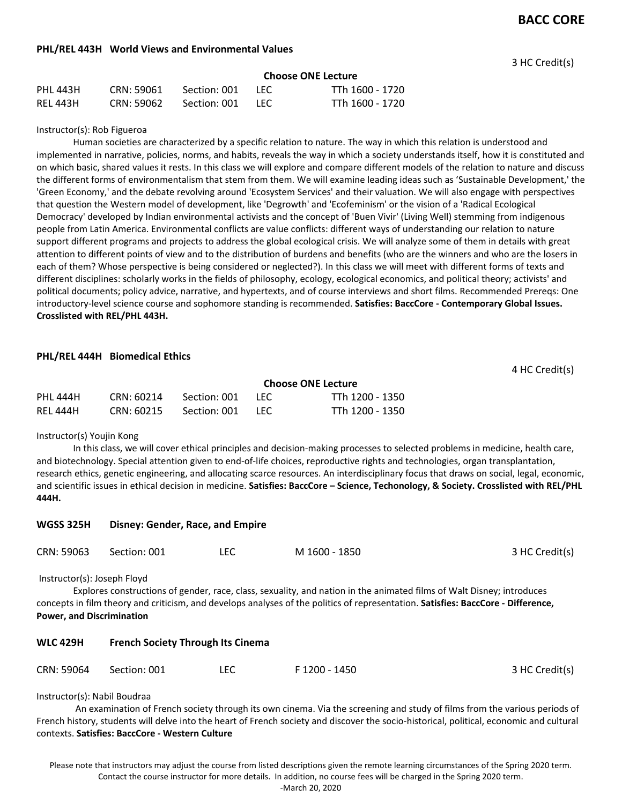### **PHL/REL 443H World Views and Environmental Values**

3 HC Credit(s)

4 HC Credit(s)

|          |            |                  |      | <b>Choose ONE Lecture</b> |
|----------|------------|------------------|------|---------------------------|
| PHL 443H | CRN: 59061 | Section: 001 LEC |      | TTh 1600 - 1720           |
| REL 443H | CRN: 59062 | Section: 001     | -LEC | TTh 1600 - 1720           |

#### Instructor(s): Rob Figueroa

Human societies are characterized by a specific relation to nature. The way in which this relation is understood and implemented in narrative, policies, norms, and habits, reveals the way in which a society understands itself, how it is constituted and on which basic, shared values it rests. In this class we will explore and compare different models of the relation to nature and discuss the different forms of environmentalism that stem from them. We will examine leading ideas such as 'Sustainable Development,' the 'Green Economy,' and the debate revolving around 'Ecosystem Services' and their valuation. We will also engage with perspectives that question the Western model of development, like 'Degrowth' and 'Ecofeminism' or the vision of a 'Radical Ecological Democracy' developed by Indian environmental activists and the concept of 'Buen Vivir' (Living Well) stemming from indigenous people from Latin America. Environmental conflicts are value conflicts: different ways of understanding our relation to nature support different programs and projects to address the global ecological crisis. We will analyze some of them in details with great attention to different points of view and to the distribution of burdens and benefits (who are the winners and who are the losers in each of them? Whose perspective is being considered or neglected?). In this class we will meet with different forms of texts and different disciplines: scholarly works in the fields of philosophy, ecology, ecological economics, and political theory; activists' and political documents; policy advice, narrative, and hypertexts, and of course interviews and short films. Recommended Prereqs: One introductory-level science course and sophomore standing is recommended. **Satisfies: BaccCore - Contemporary Global Issues. Crosslisted with REL/PHL 443H.**

## **PHL/REL 444H Biomedical Ethics**

**Choose ONE Lecture** PHL 444H CRN: 60214 Section: 001 LEC TTh 1200 - 1350 REL 444H CRN: 60215 Section: 001 LEC TTh 1200 - 1350

#### Instructor(s) Youjin Kong

In this class, we will cover ethical principles and decision-making processes to selected problems in medicine, health care, and biotechnology. Special attention given to end-of-life choices, reproductive rights and technologies, organ transplantation, research ethics, genetic engineering, and allocating scarce resources. An interdisciplinary focus that draws on social, legal, economic, and scientific issues in ethical decision in medicine. **Satisfies: BaccCore – Science, Techonology, & Society. Crosslisted with REL/PHL 444H.**

| <b>WGSS 325H</b>                                                | Disney: Gender, Race, and Empire         |            |                                                                                                                                                                                                                                                            |                |
|-----------------------------------------------------------------|------------------------------------------|------------|------------------------------------------------------------------------------------------------------------------------------------------------------------------------------------------------------------------------------------------------------------|----------------|
| CRN: 59063                                                      | Section: 001                             | <b>LEC</b> | M 1600 - 1850                                                                                                                                                                                                                                              | 3 HC Credit(s) |
| Instructor(s): Joseph Floyd<br><b>Power, and Discrimination</b> |                                          |            | Explores constructions of gender, race, class, sexuality, and nation in the animated films of Walt Disney; introduces<br>concepts in film theory and criticism, and develops analyses of the politics of representation. Satisfies: BaccCore - Difference, |                |
| <b>WLC 429H</b>                                                 | <b>French Society Through Its Cinema</b> |            |                                                                                                                                                                                                                                                            |                |
| CRN: 59064                                                      | Section: 001                             | LEC        | F 1200 - 1450                                                                                                                                                                                                                                              | 3 HC Credit(s) |

Instructor(s): Nabil Boudraa

An examination of French society through its own cinema. Via the screening and study of films from the various periods of French history, students will delve into the heart of French society and discover the socio-historical, political, economic and cultural contexts. **Satisfies: BaccCore - Western Culture**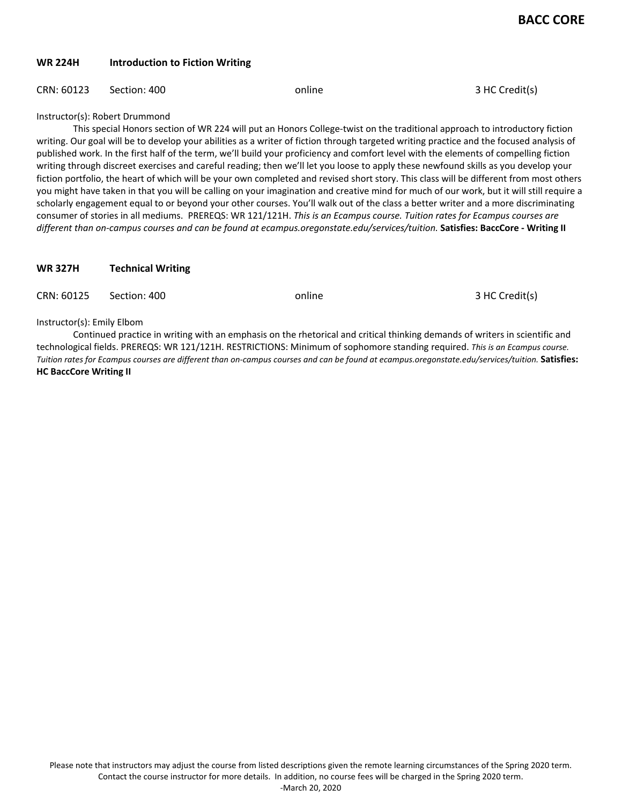# **WR 224H Introduction to Fiction Writing**

## CRN: 60123 Section: 400 online online 3 HC Credit(s)

Instructor(s): Robert Drummond

This special Honors section of WR 224 will put an Honors College-twist on the traditional approach to introductory fiction writing. Our goal will be to develop your abilities as a writer of fiction through targeted writing practice and the focused analysis of published work. In the first half of the term, we'll build your proficiency and comfort level with the elements of compelling fiction writing through discreet exercises and careful reading; then we'll let you loose to apply these newfound skills as you develop your fiction portfolio, the heart of which will be your own completed and revised short story. This class will be different from most others you might have taken in that you will be calling on your imagination and creative mind for much of our work, but it will still require a scholarly engagement equal to or beyond your other courses. You'll walk out of the class a better writer and a more discriminating consumer of stories in all mediums. PREREQS: WR 121/121H. *This is an Ecampus course. Tuition rates for Ecampus courses are different than on-campus courses and can be found at ecampus.oregonstate.edu/services/tuition.* **Satisfies: BaccCore - Writing II**

## **WR 327H Technical Writing**

| CRN: 60125                 | Section: 400 | online | 3 HC Credit(s) |
|----------------------------|--------------|--------|----------------|
| Instructor(s): Emily Elbom |              |        |                |

Continued practice in writing with an emphasis on the rhetorical and critical thinking demands of writers in scientific and technological fields. PREREQS: WR 121/121H. RESTRICTIONS: Minimum of sophomore standing required. *This is an Ecampus course. Tuition rates for Ecampus courses are different than on-campus courses and can be found at ecampus.oregonstate.edu/services/tuition.* **Satisfies: HC BaccCore Writing II**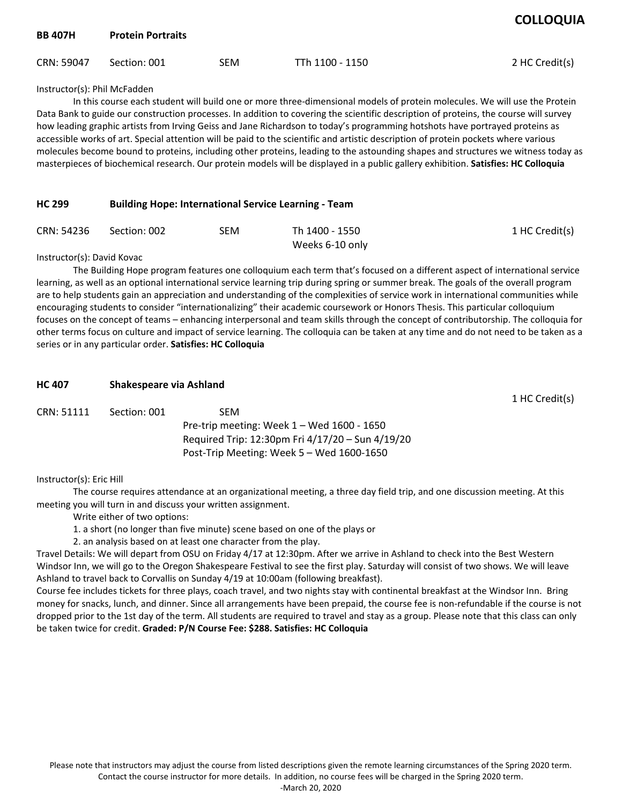| <b>BB 407H</b>               | <b>Protein Portraits</b> |            |                 | <b>CULLUQUIA</b> |
|------------------------------|--------------------------|------------|-----------------|------------------|
| CRN: 59047                   | Section: 001             | <b>SEM</b> | TTh 1100 - 1150 | 2 HC Credit(s)   |
| Inctrustar(a): Dhil Maraddan |                          |            |                 |                  |

Instructor(s): Phil McFadden

In this course each student will build one or more three-dimensional models of protein molecules. We will use the Protein Data Bank to guide our construction processes. In addition to covering the scientific description of proteins, the course will survey how leading graphic artists from Irving Geiss and Jane Richardson to today's programming hotshots have portrayed proteins as accessible works of art. Special attention will be paid to the scientific and artistic description of protein pockets where various molecules become bound to proteins, including other proteins, leading to the astounding shapes and structures we witness today as masterpieces of biochemical research. Our protein models will be displayed in a public gallery exhibition. **Satisfies: HC Colloquia** 

### **HC 299 Building Hope: International Service Learning - Team**

| CRN: 54236 Section: 002 | SEM | Th 1400 - 1550  | 1 HC Credit(s) |
|-------------------------|-----|-----------------|----------------|
|                         |     | Weeks 6-10 only |                |

Instructor(s): David Kovac

The Building Hope program features one colloquium each term that's focused on a different aspect of international service learning, as well as an optional international service learning trip during spring or summer break. The goals of the overall program are to help students gain an appreciation and understanding of the complexities of service work in international communities while encouraging students to consider "internationalizing" their academic coursework or Honors Thesis. This particular colloquium focuses on the concept of teams – enhancing interpersonal and team skills through the concept of contributorship. The colloquia for other terms focus on culture and impact of service learning. The colloquia can be taken at any time and do not need to be taken as a series or in any particular order. **Satisfies: HC Colloquia** 

| <b>HC 407</b> | Shakespeare via Ashland |                                                  |                |
|---------------|-------------------------|--------------------------------------------------|----------------|
|               |                         |                                                  | 1 HC Credit(s) |
| CRN: 51111    | Section: 001            | <b>SEM</b>                                       |                |
|               |                         | Pre-trip meeting: Week $1 -$ Wed $1600 - 1650$   |                |
|               |                         | Required Trip: 12:30pm Fri 4/17/20 - Sun 4/19/20 |                |
|               |                         | Post-Trip Meeting: Week $5 -$ Wed 1600-1650      |                |

#### Instructor(s): Eric Hill

The course requires attendance at an organizational meeting, a three day field trip, and one discussion meeting. At this meeting you will turn in and discuss your written assignment.

- Write either of two options:
- 1. a short (no longer than five minute) scene based on one of the plays or
- 2. an analysis based on at least one character from the play.

Travel Details: We will depart from OSU on Friday 4/17 at 12:30pm. After we arrive in Ashland to check into the Best Western Windsor Inn, we will go to the Oregon Shakespeare Festival to see the first play. Saturday will consist of two shows. We will leave Ashland to travel back to Corvallis on Sunday 4/19 at 10:00am (following breakfast).

Course fee includes tickets for three plays, coach travel, and two nights stay with continental breakfast at the Windsor Inn. Bring money for snacks, lunch, and dinner. Since all arrangements have been prepaid, the course fee is non-refundable if the course is not dropped prior to the 1st day of the term. All students are required to travel and stay as a group. Please note that this class can only be taken twice for credit. **Graded: P/N Course Fee: \$288. Satisfies: HC Colloquia**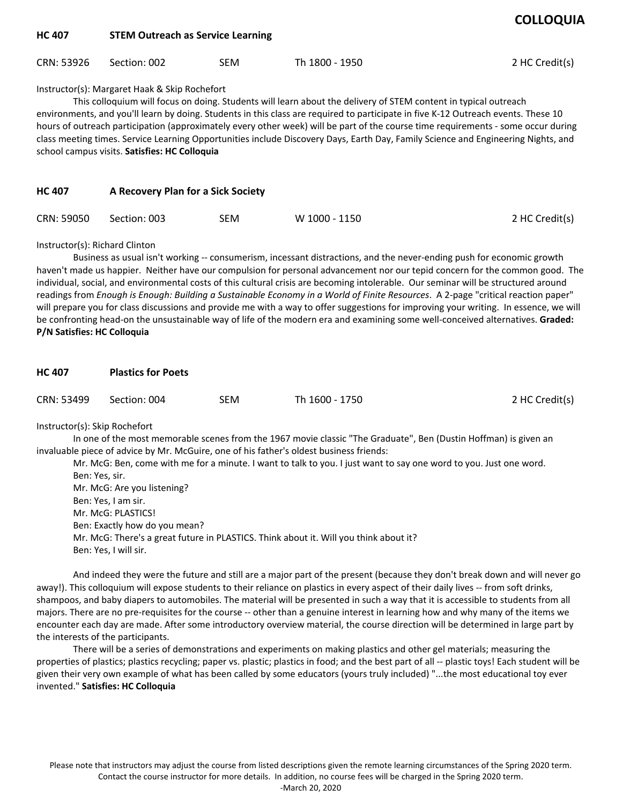| <b>HC 407</b> | <b>STEM Outreach as Service Learning</b> |            |                |                |  |  |
|---------------|------------------------------------------|------------|----------------|----------------|--|--|
| CRN: 53926    | Section: 002                             | <b>SEM</b> | Th 1800 - 1950 | 2 HC Credit(s) |  |  |

## Instructor(s): Margaret Haak & Skip Rochefort

This colloquium will focus on doing. Students will learn about the delivery of STEM content in typical outreach environments, and you'll learn by doing. Students in this class are required to participate in five K-12 Outreach events. These 10 hours of outreach participation (approximately every other week) will be part of the course time requirements - some occur during class meeting times. Service Learning Opportunities include Discovery Days, Earth Day, Family Science and Engineering Nights, and school campus visits. **Satisfies: HC Colloquia** 

| <b>HC 407</b> | A Recovery Plan for a Sick Society |     |               |                |  |
|---------------|------------------------------------|-----|---------------|----------------|--|
| CRN: 59050    | Section: 003                       | SEM | W 1000 - 1150 | 2 HC Credit(s) |  |

Instructor(s): Richard Clinton

Business as usual isn't working -- consumerism, incessant distractions, and the never-ending push for economic growth haven't made us happier. Neither have our compulsion for personal advancement nor our tepid concern for the common good. The individual, social, and environmental costs of this cultural crisis are becoming intolerable. Our seminar will be structured around readings from *Enough is Enough: Building a Sustainable Economy in a World of Finite Resources*. A 2-page "critical reaction paper" will prepare you for class discussions and provide me with a way to offer suggestions for improving your writing. In essence, we will be confronting head-on the unsustainable way of life of the modern era and examining some well-conceived alternatives. **Graded: P/N Satisfies: HC Colloquia** 

| <b>HC 407</b> | <b>Plastics for Poets</b> |            |                |                |  |  |
|---------------|---------------------------|------------|----------------|----------------|--|--|
| CRN: 53499    | Section: 004              | <b>SEM</b> | Th 1600 - 1750 | 2 HC Credit(s) |  |  |

Instructor(s): Skip Rochefort

In one of the most memorable scenes from the 1967 movie classic "The Graduate", Ben (Dustin Hoffman) is given an invaluable piece of advice by Mr. McGuire, one of his father's oldest business friends:

Mr. McG: Ben, come with me for a minute. I want to talk to you. I just want to say one word to you. Just one word. Ben: Yes, sir. Mr. McG: Are you listening? Ben: Yes, I am sir. Mr. McG: PLASTICS! Ben: Exactly how do you mean? Mr. McG: There's a great future in PLASTICS. Think about it. Will you think about it? Ben: Yes, I will sir.

And indeed they were the future and still are a major part of the present (because they don't break down and will never go away!). This colloquium will expose students to their reliance on plastics in every aspect of their daily lives -- from soft drinks, shampoos, and baby diapers to automobiles. The material will be presented in such a way that it is accessible to students from all majors. There are no pre-requisites for the course -- other than a genuine interest in learning how and why many of the items we encounter each day are made. After some introductory overview material, the course direction will be determined in large part by the interests of the participants.

There will be a series of demonstrations and experiments on making plastics and other gel materials; measuring the properties of plastics; plastics recycling; paper vs. plastic; plastics in food; and the best part of all -- plastic toys! Each student will be given their very own example of what has been called by some educators (yours truly included) "...the most educational toy ever invented." **Satisfies: HC Colloquia**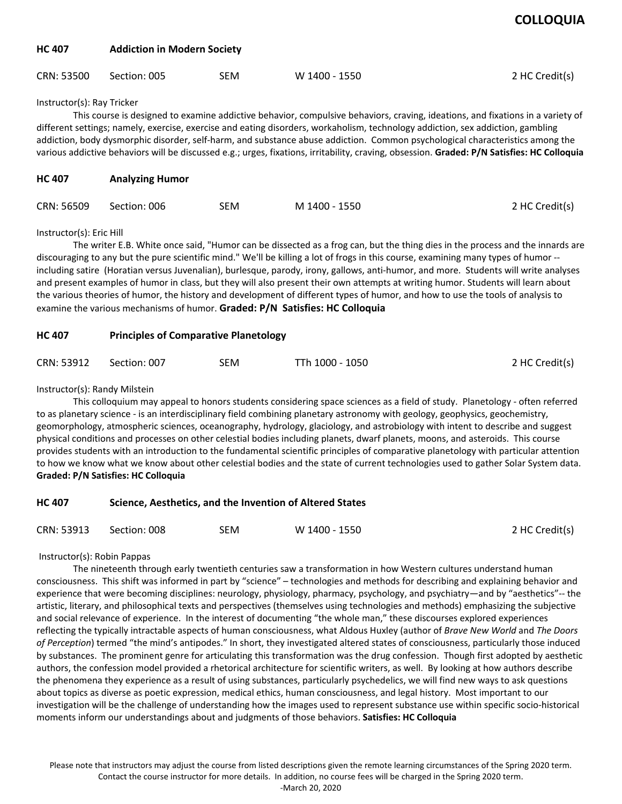| <b>COLLOQUIA</b> |
|------------------|
|------------------|

| HC 407 | <b>Addiction in Modern Society</b> |  |
|--------|------------------------------------|--|
|        |                                    |  |

| CRN: 53500 | Section: 005 | SEM | W 1400 - 1550 | 2 HC Credit(s) |
|------------|--------------|-----|---------------|----------------|
|            |              |     |               |                |

Instructor(s): Ray Tricker

This course is designed to examine addictive behavior, compulsive behaviors, craving, ideations, and fixations in a variety of different settings; namely, exercise, exercise and eating disorders, workaholism, technology addiction, sex addiction, gambling addiction, body dysmorphic disorder, self-harm, and substance abuse addiction. Common psychological characteristics among the various addictive behaviors will be discussed e.g.; urges, fixations, irritability, craving, obsession. **Graded: P/N Satisfies: HC Colloquia** 

| <b>HC 407</b> | <b>Analyzing Humor</b> |     |               |                |  |  |
|---------------|------------------------|-----|---------------|----------------|--|--|
| CRN: 56509    | Section: 006           | SEM | M 1400 - 1550 | 2 HC Credit(s) |  |  |

Instructor(s): Eric Hill

The writer E.B. White once said, "Humor can be dissected as a frog can, but the thing dies in the process and the innards are discouraging to any but the pure scientific mind." We'll be killing a lot of frogs in this course, examining many types of humor - including satire (Horatian versus Juvenalian), burlesque, parody, irony, gallows, anti-humor, and more. Students will write analyses and present examples of humor in class, but they will also present their own attempts at writing humor. Students will learn about the various theories of humor, the history and development of different types of humor, and how to use the tools of analysis to examine the various mechanisms of humor. **Graded: P/N Satisfies: HC Colloquia** 

| <b>HC 407</b> |  | <b>Principles of Comparative Planetology</b> |  |
|---------------|--|----------------------------------------------|--|
|---------------|--|----------------------------------------------|--|

| CRN: 53912 | Section: 007 | SEM | TTh 1000 - 1050 | 2 HC Credit(s) |
|------------|--------------|-----|-----------------|----------------|
|------------|--------------|-----|-----------------|----------------|

Instructor(s): Randy Milstein

This colloquium may appeal to honors students considering space sciences as a field of study. Planetology - often referred to as planetary science - is an interdisciplinary field combining planetary astronomy with geology, geophysics, geochemistry, geomorphology, atmospheric sciences, oceanography, hydrology, glaciology, and astrobiology with intent to describe and suggest physical conditions and processes on other celestial bodies including planets, dwarf planets, moons, and asteroids. This course provides students with an introduction to the fundamental scientific principles of comparative planetology with particular attention to how we know what we know about other celestial bodies and the state of current technologies used to gather Solar System data. **Graded: P/N Satisfies: HC Colloquia** 

| HC 407 | Science, Aesthetics, and the Invention of Altered States |
|--------|----------------------------------------------------------|
|--------|----------------------------------------------------------|

| 2 HC Credit(s)<br>CRN: 53913<br>W 1400 - 1550<br>SEM<br>Section: 008 |  |
|----------------------------------------------------------------------|--|
|----------------------------------------------------------------------|--|

Instructor(s): Robin Pappas

The nineteenth through early twentieth centuries saw a transformation in how Western cultures understand human consciousness. This shift was informed in part by "science" – technologies and methods for describing and explaining behavior and experience that were becoming disciplines: neurology, physiology, pharmacy, psychology, and psychiatry—and by "aesthetics"-- the artistic, literary, and philosophical texts and perspectives (themselves using technologies and methods) emphasizing the subjective and social relevance of experience. In the interest of documenting "the whole man," these discourses explored experiences reflecting the typically intractable aspects of human consciousness, what Aldous Huxley (author of *Brave New World* and *The Doors of Perception*) termed "the mind's antipodes." In short, they investigated altered states of consciousness, particularly those induced by substances. The prominent genre for articulating this transformation was the drug confession. Though first adopted by aesthetic authors, the confession model provided a rhetorical architecture for scientific writers, as well. By looking at how authors describe the phenomena they experience as a result of using substances, particularly psychedelics, we will find new ways to ask questions about topics as diverse as poetic expression, medical ethics, human consciousness, and legal history. Most important to our investigation will be the challenge of understanding how the images used to represent substance use within specific socio-historical moments inform our understandings about and judgments of those behaviors. **Satisfies: HC Colloquia**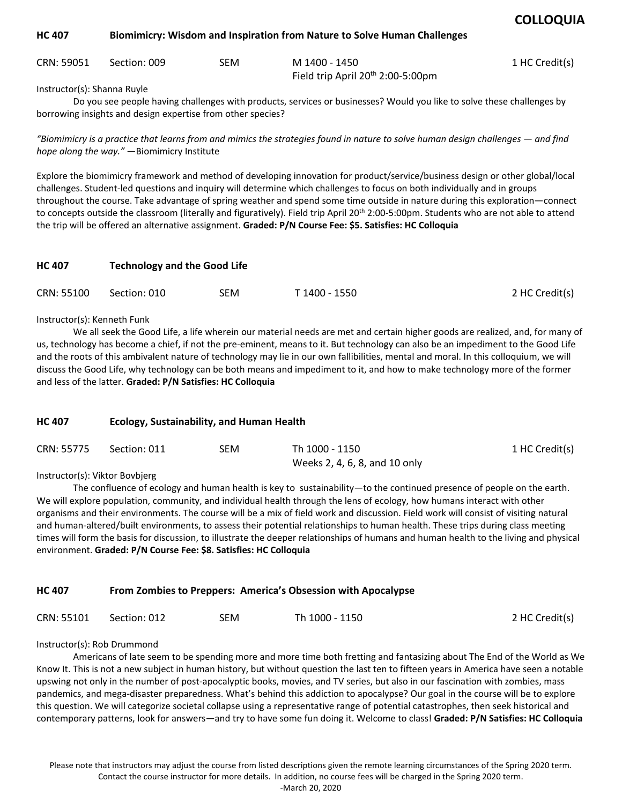| HC 407 | <b>Biomimicry: Wisdom and Inspiration from Nature to Solve Human Challenges</b> |  |
|--------|---------------------------------------------------------------------------------|--|
|--------|---------------------------------------------------------------------------------|--|

| CRN: 59051 Section: 009 | SEM | M 1400 - 1450                                 | 1 HC Credit(s) |
|-------------------------|-----|-----------------------------------------------|----------------|
|                         |     | Field trip April 20 <sup>th</sup> 2:00-5:00pm |                |

Instructor(s): Shanna Ruyle

Do you see people having challenges with products, services or businesses? Would you like to solve these challenges by borrowing insights and design expertise from other species?

*"Biomimicry is a practice that learns from and mimics the strategies found in nature to solve human design challenges — and find hope along the way."* —Biomimicry Institute

Explore the biomimicry framework and method of developing innovation for product/service/business design or other global/local challenges. Student-led questions and inquiry will determine which challenges to focus on both individually and in groups throughout the course. Take advantage of spring weather and spend some time outside in nature during this exploration—connect to concepts outside the classroom (literally and figuratively). Field trip April 20<sup>th</sup> 2:00-5:00pm. Students who are not able to attend the trip will be offered an alternative assignment. **Graded: P/N Course Fee: \$5. Satisfies: HC Colloquia** 

| <b>HC 407</b> |              | <b>Technology and the Good Life</b> |               |                |  |  |  |
|---------------|--------------|-------------------------------------|---------------|----------------|--|--|--|
| CRN: 55100    | Section: 010 | SEM.                                | T 1400 - 1550 | 2 HC Credit(s) |  |  |  |

Instructor(s): Kenneth Funk

We all seek the Good Life, a life wherein our material needs are met and certain higher goods are realized, and, for many of us, technology has become a chief, if not the pre-eminent, means to it. But technology can also be an impediment to the Good Life and the roots of this ambivalent nature of technology may lie in our own fallibilities, mental and moral. In this colloquium, we will discuss the Good Life, why technology can be both means and impediment to it, and how to make technology more of the former and less of the latter. **Graded: P/N Satisfies: HC Colloquia** 

## **HC 407 Ecology, Sustainability, and Human Health**

| CRN: 55775 Section: 011 | SEM | Th 1000 - 1150                | 1 HC Credit(s) |
|-------------------------|-----|-------------------------------|----------------|
|                         |     | Weeks 2, 4, 6, 8, and 10 only |                |

Instructor(s): Viktor Bovbjerg

The confluence of ecology and human health is key to sustainability—to the continued presence of people on the earth. We will explore population, community, and individual health through the lens of ecology, how humans interact with other organisms and their environments. The course will be a mix of field work and discussion. Field work will consist of visiting natural and human-altered/built environments, to assess their potential relationships to human health. These trips during class meeting times will form the basis for discussion, to illustrate the deeper relationships of humans and human health to the living and physical environment. **Graded: P/N Course Fee: \$8. Satisfies: HC Colloquia** 

## **HC 407 From Zombies to Preppers: America's Obsession with Apocalypse**

| CRN: 55101 | Section: 012 | SEM | Th 1000 - 1150 | 2 HC Credit(s) |
|------------|--------------|-----|----------------|----------------|
|------------|--------------|-----|----------------|----------------|

#### Instructor(s): Rob Drummond

Americans of late seem to be spending more and more time both fretting and fantasizing about The End of the World as We Know It. This is not a new subject in human history, but without question the last ten to fifteen years in America have seen a notable upswing not only in the number of post-apocalyptic books, movies, and TV series, but also in our fascination with zombies, mass pandemics, and mega-disaster preparedness. What's behind this addiction to apocalypse? Our goal in the course will be to explore this question. We will categorize societal collapse using a representative range of potential catastrophes, then seek historical and contemporary patterns, look for answers—and try to have some fun doing it. Welcome to class! **Graded: P/N Satisfies: HC Colloquia**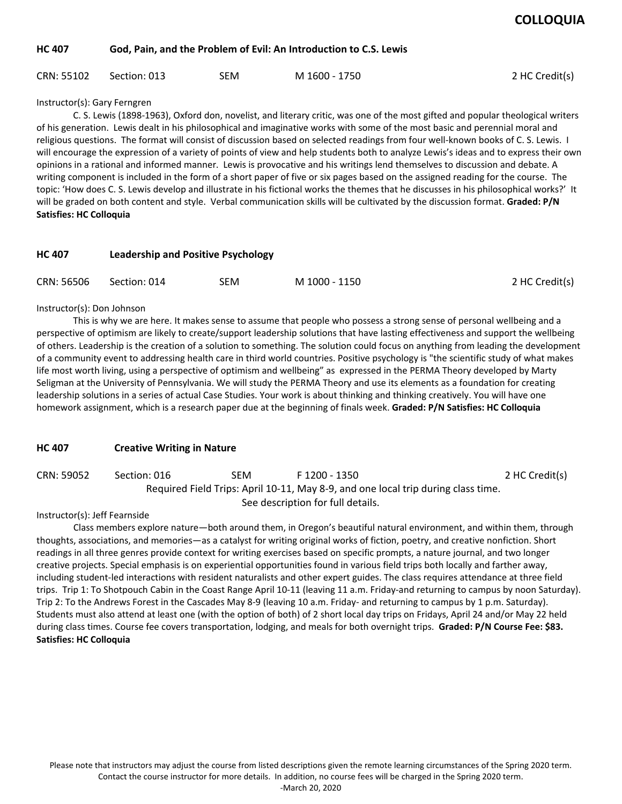#### **HC 407 God, Pain, and the Problem of Evil: An Introduction to C.S. Lewis**

| CRN: 55102 | Section: 013 | SEM | M 1600 - 1750 | 2 HC Credit(s) |
|------------|--------------|-----|---------------|----------------|
|------------|--------------|-----|---------------|----------------|

Instructor(s): Gary Ferngren

C. S. Lewis (1898-1963), Oxford don, novelist, and literary critic, was one of the most gifted and popular theological writers of his generation. Lewis dealt in his philosophical and imaginative works with some of the most basic and perennial moral and religious questions. The format will consist of discussion based on selected readings from four well-known books of C. S. Lewis. I will encourage the expression of a variety of points of view and help students both to analyze Lewis's ideas and to express their own opinions in a rational and informed manner. Lewis is provocative and his writings lend themselves to discussion and debate. A writing component is included in the form of a short paper of five or six pages based on the assigned reading for the course. The topic: 'How does C. S. Lewis develop and illustrate in his fictional works the themes that he discusses in his philosophical works?' It will be graded on both content and style. Verbal communication skills will be cultivated by the discussion format. **Graded: P/N Satisfies: HC Colloquia** 

| <b>HC 407</b> | Leadership and Positive Psychology |     |               |                |  |  |
|---------------|------------------------------------|-----|---------------|----------------|--|--|
| CRN: 56506    | Section: 014                       | SEM | M 1000 - 1150 | 2 HC Credit(s) |  |  |

#### Instructor(s): Don Johnson

This is why we are here. It makes sense to assume that people who possess a strong sense of personal wellbeing and a perspective of optimism are likely to create/support leadership solutions that have lasting effectiveness and support the wellbeing of others. Leadership is the creation of a solution to something. The solution could focus on anything from leading the development of a community event to addressing health care in third world countries. Positive psychology is "the scientific study of what makes life most worth living, using a perspective of optimism and wellbeing" as expressed in the PERMA Theory developed by Marty Seligman at the University of Pennsylvania. We will study the PERMA Theory and use its elements as a foundation for creating leadership solutions in a series of actual Case Studies. Your work is about thinking and thinking creatively. You will have one homework assignment, which is a research paper due at the beginning of finals week. **Graded: P/N Satisfies: HC Colloquia** 

## **HC 407 Creative Writing in Nature**

| CRN: 59052 | Section: 016 | SEM | F 1200 - 1350                                                                     | 2 HC Credit(s) |
|------------|--------------|-----|-----------------------------------------------------------------------------------|----------------|
|            |              |     | Required Field Trips: April 10-11, May 8-9, and one local trip during class time. |                |
|            |              |     | See description for full details.                                                 |                |

Instructor(s): Jeff Fearnside

 Class members explore nature—both around them, in Oregon's beautiful natural environment, and within them, through thoughts, associations, and memories—as a catalyst for writing original works of fiction, poetry, and creative nonfiction. Short readings in all three genres provide context for writing exercises based on specific prompts, a nature journal, and two longer creative projects. Special emphasis is on experiential opportunities found in various field trips both locally and farther away, including student-led interactions with resident naturalists and other expert guides. The class requires attendance at three field trips. Trip 1: To Shotpouch Cabin in the Coast Range April 10-11 (leaving 11 a.m. Friday-and returning to campus by noon Saturday). Trip 2: To the Andrews Forest in the Cascades May 8-9 (leaving 10 a.m. Friday- and returning to campus by 1 p.m. Saturday). Students must also attend at least one (with the option of both) of 2 short local day trips on Fridays, April 24 and/or May 22 held during class times. Course fee covers transportation, lodging, and meals for both overnight trips. **Graded: P/N Course Fee: \$83. Satisfies: HC Colloquia**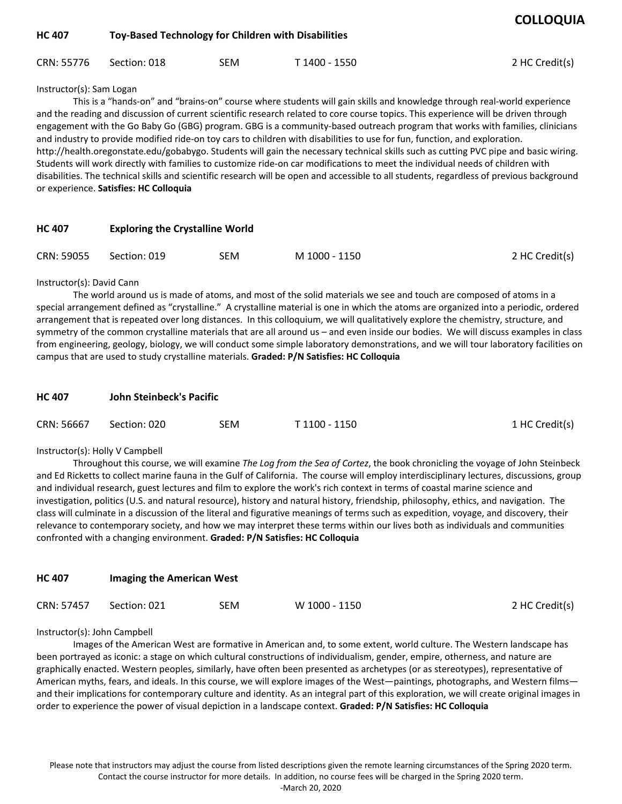| <b>HC 407</b> | Toy-Based Technology for Children with Disabilities |     |               |                |  |  |  |
|---------------|-----------------------------------------------------|-----|---------------|----------------|--|--|--|
| CRN: 55776    | Section: 018                                        | SEM | T 1400 - 1550 | 2 HC Credit(s) |  |  |  |

#### Instructor(s): Sam Logan

This is a "hands-on" and "brains-on" course where students will gain skills and knowledge through real-world experience and the reading and discussion of current scientific research related to core course topics. This experience will be driven through engagement with the Go Baby Go (GBG) program. GBG is a community-based outreach program that works with families, clinicians and industry to provide modified ride-on toy cars to children with disabilities to use for fun, function, and exploration. http://health.oregonstate.edu/gobabygo. Students will gain the necessary technical skills such as cutting PVC pipe and basic wiring. Students will work directly with families to customize ride-on car modifications to meet the individual needs of children with disabilities. The technical skills and scientific research will be open and accessible to all students, regardless of previous background or experience. **Satisfies: HC Colloquia** 

| <b>HC 407</b> | <b>Exploring the Crystalline World</b> |     |               |                |  |  |
|---------------|----------------------------------------|-----|---------------|----------------|--|--|
| CRN: 59055    | Section: 019                           | SEM | M 1000 - 1150 | 2 HC Credit(s) |  |  |

#### Instructor(s): David Cann

The world around us is made of atoms, and most of the solid materials we see and touch are composed of atoms in a special arrangement defined as "crystalline." A crystalline material is one in which the atoms are organized into a periodic, ordered arrangement that is repeated over long distances. In this colloquium, we will qualitatively explore the chemistry, structure, and symmetry of the common crystalline materials that are all around us – and even inside our bodies. We will discuss examples in class from engineering, geology, biology, we will conduct some simple laboratory demonstrations, and we will tour laboratory facilities on campus that are used to study crystalline materials. **Graded: P/N Satisfies: HC Colloquia** 

| <b>HC 407</b> | John Steinbeck's Pacific |     |               |                |  |  |
|---------------|--------------------------|-----|---------------|----------------|--|--|
| CRN: 56667    | Section: 020             | SEM | T 1100 - 1150 | 1 HC Credit(s) |  |  |

## Instructor(s): Holly V Campbell

Throughout this course, we will examine *The Log from the Sea of Cortez*, the book chronicling the voyage of John Steinbeck and Ed Ricketts to collect marine fauna in the Gulf of California. The course will employ interdisciplinary lectures, discussions, group and individual research, guest lectures and film to explore the work's rich context in terms of coastal marine science and investigation, politics (U.S. and natural resource), history and natural history, friendship, philosophy, ethics, and navigation. The class will culminate in a discussion of the literal and figurative meanings of terms such as expedition, voyage, and discovery, their relevance to contemporary society, and how we may interpret these terms within our lives both as individuals and communities confronted with a changing environment. **Graded: P/N Satisfies: HC Colloquia** 

| <b>HC 407</b> | <b>Imaging the American West</b> |     |               |                |
|---------------|----------------------------------|-----|---------------|----------------|
| CRN: 57457    | Section: 021                     | SEM | W 1000 - 1150 | 2 HC Credit(s) |

#### Instructor(s): John Campbell

Images of the American West are formative in American and, to some extent, world culture. The Western landscape has been portrayed as iconic: a stage on which cultural constructions of individualism, gender, empire, otherness, and nature are graphically enacted. Western peoples, similarly, have often been presented as archetypes (or as stereotypes), representative of American myths, fears, and ideals. In this course, we will explore images of the West—paintings, photographs, and Western films and their implications for contemporary culture and identity. As an integral part of this exploration, we will create original images in order to experience the power of visual depiction in a landscape context. **Graded: P/N Satisfies: HC Colloquia**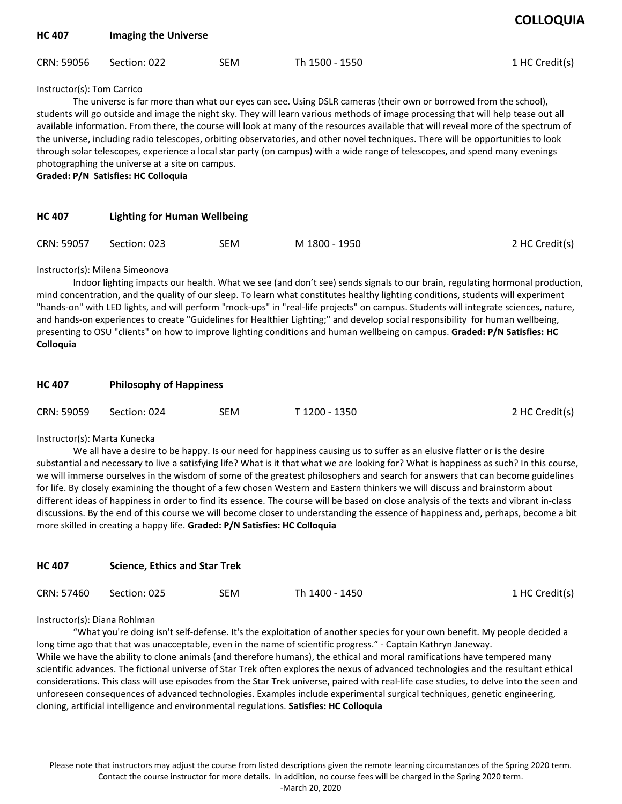| <b>HC 407</b>              | <b>Imaging the Universe</b> |            |                                                                                                                                                                                                                                                                                                                                                                                                                                                                                                                                         |                |
|----------------------------|-----------------------------|------------|-----------------------------------------------------------------------------------------------------------------------------------------------------------------------------------------------------------------------------------------------------------------------------------------------------------------------------------------------------------------------------------------------------------------------------------------------------------------------------------------------------------------------------------------|----------------|
| CRN: 59056                 | Section: 022                | <b>SEM</b> | Th 1500 - 1550                                                                                                                                                                                                                                                                                                                                                                                                                                                                                                                          | 1 HC Credit(s) |
| Instructor(s): Tom Carrico |                             |            | The universe is far more than what our eyes can see. Using DSLR cameras (their own or borrowed from the school),<br>students will go outside and image the night sky. They will learn various methods of image processing that will help tease out all<br>available information. From there, the course will look at many of the resources available that will reveal more of the spectrum of<br>والمعارمة فيتنافس ويسترم ومارا السروسي ومستحامه والمستسمطة والمسر ومشاهدهم والمستحاف والمستحدث والمستحدث والمستحدث والمستحدث والمستحدث |                |

the universe, including radio telescopes, orbiting observatories, and other novel techniques. There will be opportunities to look through solar telescopes, experience a local star party (on campus) with a wide range of telescopes, and spend many evenings photographing the universe at a site on campus.

**Graded: P/N Satisfies: HC Colloquia** 

| <b>HC 407</b> | <b>Lighting for Human Wellbeing</b> |     |               |                |  |
|---------------|-------------------------------------|-----|---------------|----------------|--|
| CRN: 59057    | Section: 023                        | SEM | M 1800 - 1950 | 2 HC Credit(s) |  |

#### Instructor(s): Milena Simeonova

Indoor lighting impacts our health. What we see (and don't see) sends signals to our brain, regulating hormonal production, mind concentration, and the quality of our sleep. To learn what constitutes healthy lighting conditions, students will experiment "hands-on" with LED lights, and will perform "mock-ups" in "real-life projects" on campus. Students will integrate sciences, nature, and hands-on experiences to create "Guidelines for Healthier Lighting;" and develop social responsibility for human wellbeing, presenting to OSU "clients" on how to improve lighting conditions and human wellbeing on campus. **Graded: P/N Satisfies: HC Colloquia** 

| <b>HC 407</b> | <b>Philosophy of Happiness</b> |     |               |                |  |  |
|---------------|--------------------------------|-----|---------------|----------------|--|--|
| CRN: 59059    | Section: 024                   | SEM | T 1200 - 1350 | 2 HC Credit(s) |  |  |

#### Instructor(s): Marta Kunecka

We all have a desire to be happy. Is our need for happiness causing us to suffer as an elusive flatter or is the desire substantial and necessary to live a satisfying life? What is it that what we are looking for? What is happiness as such? In this course, we will immerse ourselves in the wisdom of some of the greatest philosophers and search for answers that can become guidelines for life. By closely examining the thought of a few chosen Western and Eastern thinkers we will discuss and brainstorm about different ideas of happiness in order to find its essence. The course will be based on close analysis of the texts and vibrant in-class discussions. By the end of this course we will become closer to understanding the essence of happiness and, perhaps, become a bit more skilled in creating a happy life. **Graded: P/N Satisfies: HC Colloquia** 

| <b>HC 407</b> | <b>Science, Ethics and Star Trek</b> |     |                |                |  |  |
|---------------|--------------------------------------|-----|----------------|----------------|--|--|
| CRN: 57460    | Section: 025                         | SEM | Th 1400 - 1450 | 1 HC Credit(s) |  |  |

#### Instructor(s): Diana Rohlman

"What you're doing isn't self-defense. It's the exploitation of another species for your own benefit. My people decided a long time ago that that was unacceptable, even in the name of scientific progress." - Captain Kathryn Janeway. While we have the ability to clone animals (and therefore humans), the ethical and moral ramifications have tempered many scientific advances. The fictional universe of Star Trek often explores the nexus of advanced technologies and the resultant ethical considerations. This class will use episodes from the Star Trek universe, paired with real-life case studies, to delve into the seen and unforeseen consequences of advanced technologies. Examples include experimental surgical techniques, genetic engineering, cloning, artificial intelligence and environmental regulations. **Satisfies: HC Colloquia**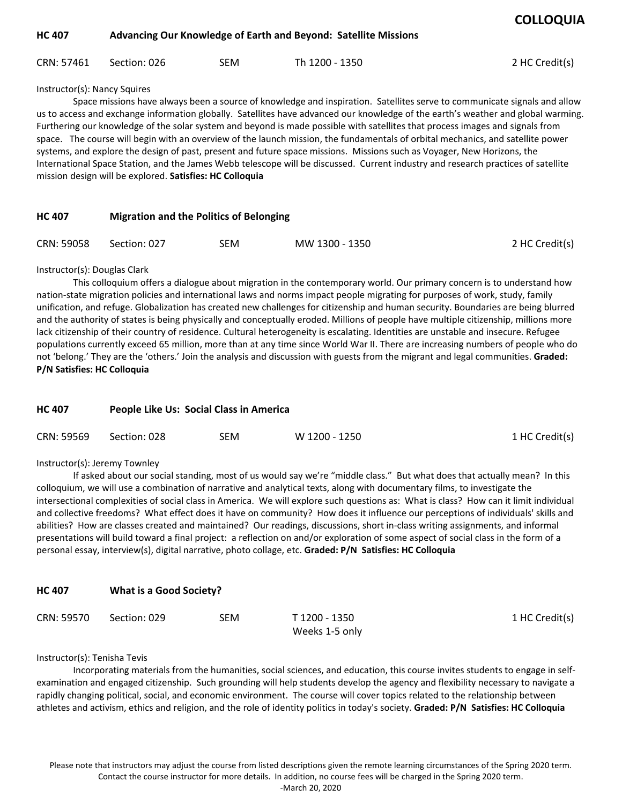| <b>HC 407</b> |              |     | Advancing Our Knowledge of Earth and Beyond: Satellite Missions |                |  |  |
|---------------|--------------|-----|-----------------------------------------------------------------|----------------|--|--|
| CRN: 57461    | Section: 026 | SEM | Th 1200 - 1350                                                  | 2 HC Credit(s) |  |  |

Instructor(s): Nancy Squires

Space missions have always been a source of knowledge and inspiration. Satellites serve to communicate signals and allow us to access and exchange information globally. Satellites have advanced our knowledge of the earth's weather and global warming. Furthering our knowledge of the solar system and beyond is made possible with satellites that process images and signals from space. The course will begin with an overview of the launch mission, the fundamentals of orbital mechanics, and satellite power systems, and explore the design of past, present and future space missions. Missions such as Voyager, New Horizons, the International Space Station, and the James Webb telescope will be discussed. Current industry and research practices of satellite mission design will be explored. **Satisfies: HC Colloquia** 

| <b>HC 407</b> | <b>Migration and the Politics of Belonging</b> |     |                |                |  |  |
|---------------|------------------------------------------------|-----|----------------|----------------|--|--|
| CRN: 59058    | Section: 027                                   | SEM | MW 1300 - 1350 | 2 HC Credit(s) |  |  |

### Instructor(s): Douglas Clark

This colloquium offers a dialogue about migration in the contemporary world. Our primary concern is to understand how nation-state migration policies and international laws and norms impact people migrating for purposes of work, study, family unification, and refuge. Globalization has created new challenges for citizenship and human security. Boundaries are being blurred and the authority of states is being physically and conceptually eroded. Millions of people have multiple citizenship, millions more lack citizenship of their country of residence. Cultural heterogeneity is escalating. Identities are unstable and insecure. Refugee populations currently exceed 65 million, more than at any time since World War II. There are increasing numbers of people who do not 'belong.' They are the 'others.' Join the analysis and discussion with guests from the migrant and legal communities. **Graded: P/N Satisfies: HC Colloquia** 

| <b>HC 407</b> |              | People Like Us: Social Class in America |               |                |  |  |  |
|---------------|--------------|-----------------------------------------|---------------|----------------|--|--|--|
| CRN: 59569    | Section: 028 | SEM                                     | W 1200 - 1250 | 1 HC Credit(s) |  |  |  |

#### Instructor(s): Jeremy Townley

If asked about our social standing, most of us would say we're "middle class." But what does that actually mean? In this colloquium, we will use a combination of narrative and analytical texts, along with documentary films, to investigate the intersectional complexities of social class in America. We will explore such questions as: What is class? How can it limit individual and collective freedoms? What effect does it have on community? How does it influence our perceptions of individuals' skills and abilities? How are classes created and maintained? Our readings, discussions, short in-class writing assignments, and informal presentations will build toward a final project: a reflection on and/or exploration of some aspect of social class in the form of a personal essay, interview(s), digital narrative, photo collage, etc. **Graded: P/N Satisfies: HC Colloquia** 

| CRN: 59570 Section: 029 | SEM | T 1200 - 1350  | 1 HC Credit(s) |
|-------------------------|-----|----------------|----------------|
|                         |     | Weeks 1-5 only |                |

#### Instructor(s): Tenisha Tevis

Incorporating materials from the humanities, social sciences, and education, this course invites students to engage in selfexamination and engaged citizenship. Such grounding will help students develop the agency and flexibility necessary to navigate a rapidly changing political, social, and economic environment. The course will cover topics related to the relationship between athletes and activism, ethics and religion, and the role of identity politics in today's society. **Graded: P/N Satisfies: HC Colloquia**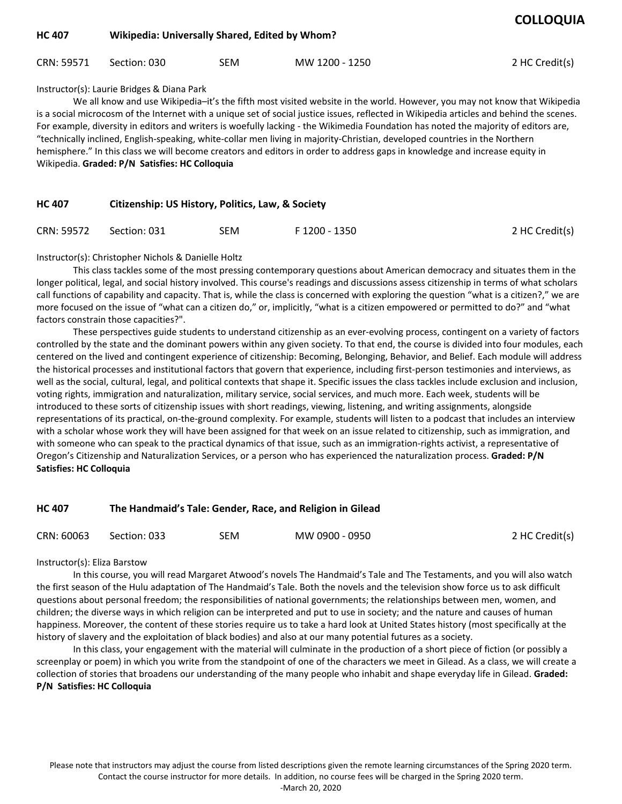| <b>HC 407</b> | Wikipedia: Universally Shared, Edited by Whom? |     |                |                |
|---------------|------------------------------------------------|-----|----------------|----------------|
| CRN: 59571    | Section: 030                                   | SEM | MW 1200 - 1250 | 2 HC Credit(s) |

## Instructor(s): Laurie Bridges & Diana Park

We all know and use Wikipedia–it's the fifth most visited website in the world. However, you may not know that Wikipedia is a social microcosm of the Internet with a unique set of social justice issues, reflected in Wikipedia articles and behind the scenes. For example, diversity in editors and writers is woefully lacking - the Wikimedia Foundation has noted the majority of editors are, "technically inclined, English-speaking, white-collar men living in majority-Christian, developed countries in the Northern hemisphere." In this class we will become creators and editors in order to address gaps in knowledge and increase equity in Wikipedia. **Graded: P/N Satisfies: HC Colloquia** 

| <b>HC 407</b> | Citizenship: US History, Politics, Law, & Society |  |
|---------------|---------------------------------------------------|--|
|               |                                                   |  |
|               |                                                   |  |

| CRN: 59572 | Section: 031 | SEM | F 1200 - 1350 | 2 HC Credit(s) |
|------------|--------------|-----|---------------|----------------|
|            |              |     |               |                |

Instructor(s): Christopher Nichols & Danielle Holtz

This class tackles some of the most pressing contemporary questions about American democracy and situates them in the longer political, legal, and social history involved. This course's readings and discussions assess citizenship in terms of what scholars call functions of capability and capacity. That is, while the class is concerned with exploring the question "what is a citizen?," we are more focused on the issue of "what can a citizen do," or, implicitly, "what is a citizen empowered or permitted to do?" and "what factors constrain those capacities?".

These perspectives guide students to understand citizenship as an ever-evolving process, contingent on a variety of factors controlled by the state and the dominant powers within any given society. To that end, the course is divided into four modules, each centered on the lived and contingent experience of citizenship: Becoming, Belonging, Behavior, and Belief. Each module will address the historical processes and institutional factors that govern that experience, including first-person testimonies and interviews, as well as the social, cultural, legal, and political contexts that shape it. Specific issues the class tackles include exclusion and inclusion, voting rights, immigration and naturalization, military service, social services, and much more. Each week, students will be introduced to these sorts of citizenship issues with short readings, viewing, listening, and writing assignments, alongside representations of its practical, on-the-ground complexity. For example, students will listen to a podcast that includes an interview with a scholar whose work they will have been assigned for that week on an issue related to citizenship, such as immigration, and with someone who can speak to the practical dynamics of that issue, such as an immigration-rights activist, a representative of Oregon's Citizenship and Naturalization Services, or a person who has experienced the naturalization process. **Graded: P/N Satisfies: HC Colloquia** 

## **HC 407 The Handmaid's Tale: Gender, Race, and Religion in Gilead**

| CRN: 60063 | Section: 033 | SEM | MW 0900 - 0950 | 2 HC Credit(s) |
|------------|--------------|-----|----------------|----------------|
|            |              |     |                |                |

Instructor(s): Eliza Barstow

In this course, you will read Margaret Atwood's novels The Handmaid's Tale and The Testaments, and you will also watch the first season of the Hulu adaptation of The Handmaid's Tale. Both the novels and the television show force us to ask difficult questions about personal freedom; the responsibilities of national governments; the relationships between men, women, and children; the diverse ways in which religion can be interpreted and put to use in society; and the nature and causes of human happiness. Moreover, the content of these stories require us to take a hard look at United States history (most specifically at the history of slavery and the exploitation of black bodies) and also at our many potential futures as a society.

In this class, your engagement with the material will culminate in the production of a short piece of fiction (or possibly a screenplay or poem) in which you write from the standpoint of one of the characters we meet in Gilead. As a class, we will create a collection of stories that broadens our understanding of the many people who inhabit and shape everyday life in Gilead. **Graded: P/N Satisfies: HC Colloquia** 

Please note that instructors may adjust the course from listed descriptions given the remote learning circumstances of the Spring 2020 term. Contact the course instructor for more details. In addition, no course fees will be charged in the Spring 2020 term.

-March 20, 2020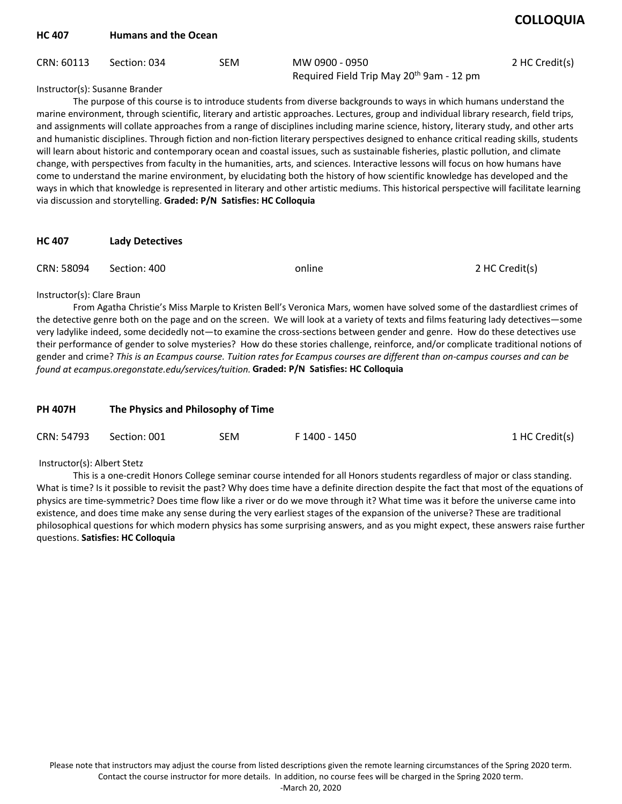| <b>HC 407</b>                  | <b>Humans and the Ocean</b> |            |                                                                                                                     |                |  |  |
|--------------------------------|-----------------------------|------------|---------------------------------------------------------------------------------------------------------------------|----------------|--|--|
| CRN: 60113                     | Section: 034                | <b>SEM</b> | MW 0900 - 0950<br>Required Field Trip May 20 <sup>th</sup> 9am - 12 pm                                              | 2 HC Credit(s) |  |  |
| Instructor(s): Susanne Brander |                             |            | The purpose of this course is to introduce students from diverse backgrounds to ways in which humans understand the |                |  |  |

marine environment, through scientific, literary and artistic approaches. Lectures, group and individual library research, field trips, and assignments will collate approaches from a range of disciplines including marine science, history, literary study, and other arts and humanistic disciplines. Through fiction and non-fiction literary perspectives designed to enhance critical reading skills, students will learn about historic and contemporary ocean and coastal issues, such as sustainable fisheries, plastic pollution, and climate change, with perspectives from faculty in the humanities, arts, and sciences. Interactive lessons will focus on how humans have come to understand the marine environment, by elucidating both the history of how scientific knowledge has developed and the ways in which that knowledge is represented in literary and other artistic mediums. This historical perspective will facilitate learning via discussion and storytelling. **Graded: P/N Satisfies: HC Colloquia** 

| CRN: 58094 Section: 400 | online | 2 HC Credit(s) |
|-------------------------|--------|----------------|
|                         |        |                |

## Instructor(s): Clare Braun

From Agatha Christie's Miss Marple to Kristen Bell's Veronica Mars, women have solved some of the dastardliest crimes of the detective genre both on the page and on the screen. We will look at a variety of texts and films featuring lady detectives—some very ladylike indeed, some decidedly not—to examine the cross-sections between gender and genre. How do these detectives use their performance of gender to solve mysteries? How do these stories challenge, reinforce, and/or complicate traditional notions of gender and crime? *This is an Ecampus course. Tuition rates for Ecampus courses are different than on-campus courses and can be found at ecampus.oregonstate.edu/services/tuition.* **Graded: P/N Satisfies: HC Colloquia** 

| <b>PH 407H</b> | The Physics and Philosophy of Time |     |               |                |  |
|----------------|------------------------------------|-----|---------------|----------------|--|
| CRN: 54793     | Section: 001                       | SEM | F 1400 - 1450 | 1 HC Credit(s) |  |

## Instructor(s): Albert Stetz

This is a one-credit Honors College seminar course intended for all Honors students regardless of major or class standing. What is time? Is it possible to revisit the past? Why does time have a definite direction despite the fact that most of the equations of physics are time-symmetric? Does time flow like a river or do we move through it? What time was it before the universe came into existence, and does time make any sense during the very earliest stages of the expansion of the universe? These are traditional philosophical questions for which modern physics has some surprising answers, and as you might expect, these answers raise further questions. **Satisfies: HC Colloquia**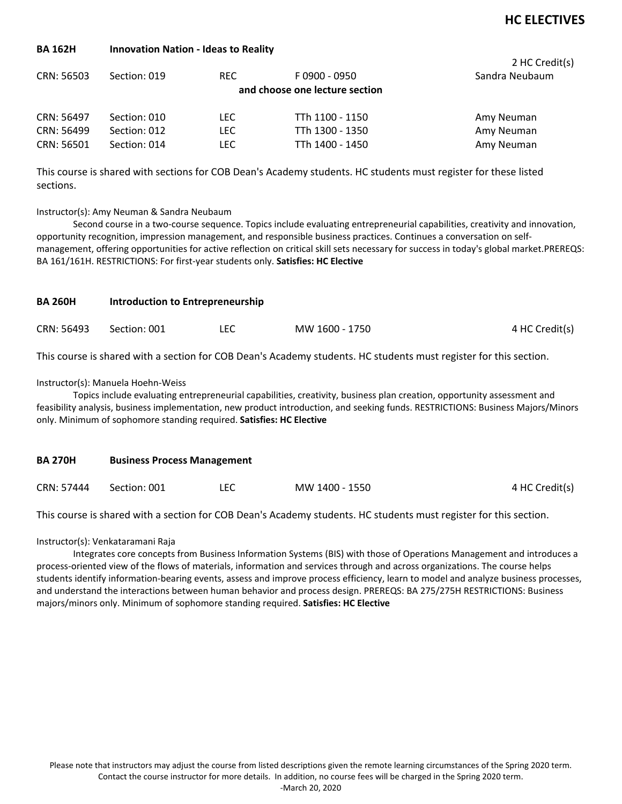## **BA 162H Innovation Nation - Ideas to Reality**

| CRN: 56503 | Section: 019 | REC.       | F0900 - 0950<br>and choose one lecture section | 2 HC Credit(s)<br>Sandra Neubaum |
|------------|--------------|------------|------------------------------------------------|----------------------------------|
| CRN: 56497 | Section: 010 | LEC.       | TTh 1100 - 1150                                | Amy Neuman                       |
| CRN: 56499 | Section: 012 | LEC.       | TTh 1300 - 1350                                | Amy Neuman                       |
| CRN: 56501 | Section: 014 | <b>LEC</b> | TTh 1400 - 1450                                | Amy Neuman                       |

This course is shared with sections for COB Dean's Academy students. HC students must register for these listed sections.

### Instructor(s): Amy Neuman & Sandra Neubaum

Second course in a two-course sequence. Topics include evaluating entrepreneurial capabilities, creativity and innovation, opportunity recognition, impression management, and responsible business practices. Continues a conversation on selfmanagement, offering opportunities for active reflection on critical skill sets necessary for success in today's global market.PREREQS: BA 161/161H. RESTRICTIONS: For first-year students only. **Satisfies: HC Elective** 

| <b>BA 260H</b> | Introduction to Entrepreneurship |  |                |                |  |
|----------------|----------------------------------|--|----------------|----------------|--|
| CRN: 56493     | Section: 001                     |  | MW 1600 - 1750 | 4 HC Credit(s) |  |

This course is shared with a section for COB Dean's Academy students. HC students must register for this section.

#### Instructor(s): Manuela Hoehn-Weiss

Topics include evaluating entrepreneurial capabilities, creativity, business plan creation, opportunity assessment and feasibility analysis, business implementation, new product introduction, and seeking funds. RESTRICTIONS: Business Majors/Minors only. Minimum of sophomore standing required. **Satisfies: HC Elective** 

| <b>BA 270H</b> | <b>Business Process Management</b> |     |                |                |  |  |
|----------------|------------------------------------|-----|----------------|----------------|--|--|
| CRN: 57444     | Section: 001                       | LEC | MW 1400 - 1550 | 4 HC Credit(s) |  |  |

This course is shared with a section for COB Dean's Academy students. HC students must register for this section.

Instructor(s): Venkataramani Raja

Integrates core concepts from Business Information Systems (BIS) with those of Operations Management and introduces a process-oriented view of the flows of materials, information and services through and across organizations. The course helps students identify information-bearing events, assess and improve process efficiency, learn to model and analyze business processes, and understand the interactions between human behavior and process design. PREREQS: BA 275/275H RESTRICTIONS: Business majors/minors only. Minimum of sophomore standing required. **Satisfies: HC Elective**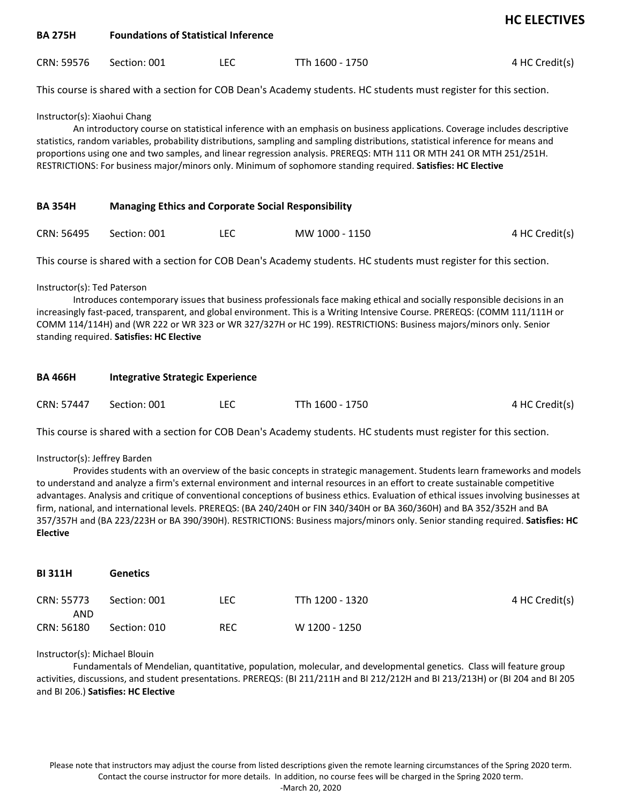| <b>BA 275H</b>                                                                                                                                                                                                                                                                                                                                                                                                                                                                                                                       | <b>Foundations of Statistical Inference</b>                |            |                                                                                                                   |                |  |  |
|--------------------------------------------------------------------------------------------------------------------------------------------------------------------------------------------------------------------------------------------------------------------------------------------------------------------------------------------------------------------------------------------------------------------------------------------------------------------------------------------------------------------------------------|------------------------------------------------------------|------------|-------------------------------------------------------------------------------------------------------------------|----------------|--|--|
| CRN: 59576                                                                                                                                                                                                                                                                                                                                                                                                                                                                                                                           | Section: 001                                               | <b>LEC</b> | TTh 1600 - 1750                                                                                                   | 4 HC Credit(s) |  |  |
|                                                                                                                                                                                                                                                                                                                                                                                                                                                                                                                                      |                                                            |            | This course is shared with a section for COB Dean's Academy students. HC students must register for this section. |                |  |  |
| Instructor(s): Xiaohui Chang<br>An introductory course on statistical inference with an emphasis on business applications. Coverage includes descriptive<br>statistics, random variables, probability distributions, sampling and sampling distributions, statistical inference for means and<br>proportions using one and two samples, and linear regression analysis. PREREQS: MTH 111 OR MTH 241 OR MTH 251/251H.<br>RESTRICTIONS: For business major/minors only. Minimum of sophomore standing required. Satisfies: HC Elective |                                                            |            |                                                                                                                   |                |  |  |
| <b>BA 354H</b>                                                                                                                                                                                                                                                                                                                                                                                                                                                                                                                       | <b>Managing Ethics and Corporate Social Responsibility</b> |            |                                                                                                                   |                |  |  |
| CRN: 56495                                                                                                                                                                                                                                                                                                                                                                                                                                                                                                                           | Section: 001                                               | <b>LEC</b> | MW 1000 - 1150                                                                                                    | 4 HC Credit(s) |  |  |
|                                                                                                                                                                                                                                                                                                                                                                                                                                                                                                                                      |                                                            |            | This course is shared with a section for COB Dean's Academy students. HC students must register for this section. |                |  |  |
| Instructor(s): Ted Paterson<br>Introduces contemporary issues that business professionals face making ethical and socially responsible decisions in an<br>increasingly fast-paced, transparent, and global environment. This is a Writing Intensive Course. PREREQS: (COMM 111/111H or<br>COMM 114/114H) and (WR 222 or WR 323 or WR 327/327H or HC 199). RESTRICTIONS: Business majors/minors only. Senior<br>standing required. Satisfies: HC Elective                                                                             |                                                            |            |                                                                                                                   |                |  |  |
| <b>BA 466H</b>                                                                                                                                                                                                                                                                                                                                                                                                                                                                                                                       | <b>Integrative Strategic Experience</b>                    |            |                                                                                                                   |                |  |  |
| CRN: 57447                                                                                                                                                                                                                                                                                                                                                                                                                                                                                                                           | Section: 001                                               | <b>LEC</b> | TTh 1600 - 1750                                                                                                   | 4 HC Credit(s) |  |  |
| This course is shared with a section for COB Dean's Academy students. HC students must register for this section.                                                                                                                                                                                                                                                                                                                                                                                                                    |                                                            |            |                                                                                                                   |                |  |  |
| Instructor(s): Jeffrey Barden                                                                                                                                                                                                                                                                                                                                                                                                                                                                                                        |                                                            |            |                                                                                                                   |                |  |  |

Provides students with an overview of the basic concepts in strategic management. Students learn frameworks and models to understand and analyze a firm's external environment and internal resources in an effort to create sustainable competitive advantages. Analysis and critique of conventional conceptions of business ethics. Evaluation of ethical issues involving businesses at firm, national, and international levels. PREREQS: (BA 240/240H or FIN 340/340H or BA 360/360H) and BA 352/352H and BA 357/357H and (BA 223/223H or BA 390/390H). RESTRICTIONS: Business majors/minors only. Senior standing required. **Satisfies: HC Elective** 

| <b>BI311H</b>     | <b>Genetics</b> |            |                 |                |
|-------------------|-----------------|------------|-----------------|----------------|
| CRN: 55773<br>AND | Section: 001    | <b>LEC</b> | TTh 1200 - 1320 | 4 HC Credit(s) |
| CRN: 56180        | Section: 010    | <b>REC</b> | W 1200 - 1250   |                |

#### Instructor(s): Michael Blouin

Fundamentals of Mendelian, quantitative, population, molecular, and developmental genetics. Class will feature group activities, discussions, and student presentations. PREREQS: (BI 211/211H and BI 212/212H and BI 213/213H) or (BI 204 and BI 205 and BI 206.) **Satisfies: HC Elective**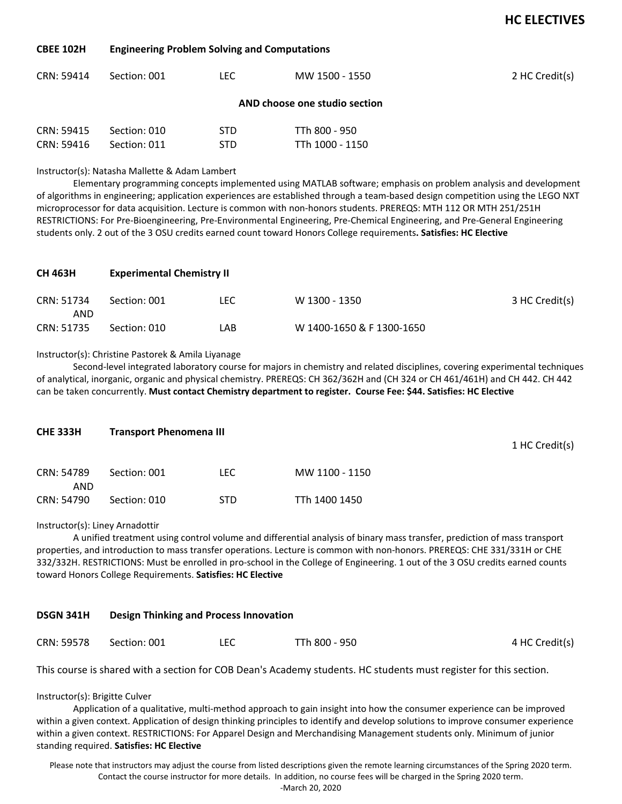#### **CBEE 102H Engineering Problem Solving and Computations**

| CRN: 59414 | Section: 001                  | LEC.       | MW 1500 - 1550  | 2 HC Credit(s) |  |  |  |  |
|------------|-------------------------------|------------|-----------------|----------------|--|--|--|--|
|            | AND choose one studio section |            |                 |                |  |  |  |  |
| CRN: 59415 | Section: 010                  | <b>STD</b> | TTh 800 - 950   |                |  |  |  |  |
| CRN: 59416 | Section: 011                  | STD        | TTh 1000 - 1150 |                |  |  |  |  |

Instructor(s): Natasha Mallette & Adam Lambert

Elementary programming concepts implemented using MATLAB software; emphasis on problem analysis and development of algorithms in engineering; application experiences are established through a team-based design competition using the LEGO NXT microprocessor for data acquisition. Lecture is common with non-honors students. PREREQS: MTH 112 OR MTH 251/251H RESTRICTIONS: For Pre-Bioengineering, Pre-Environmental Engineering, Pre-Chemical Engineering, and Pre-General Engineering students only. 2 out of the 3 OSU credits earned count toward Honors College requirements**. Satisfies: HC Elective** 

| <b>CH 463H</b>    | <b>Experimental Chemistry II</b> |     |                           |                |  |  |
|-------------------|----------------------------------|-----|---------------------------|----------------|--|--|
| CRN: 51734<br>AND | Section: 001                     | LEC | W 1300 - 1350             | 3 HC Credit(s) |  |  |
| CRN: 51735        | Section: 010                     | LAB | W 1400-1650 & F 1300-1650 |                |  |  |

#### Instructor(s): Christine Pastorek & Amila Liyanage

Second-level integrated laboratory course for majors in chemistry and related disciplines, covering experimental techniques of analytical, inorganic, organic and physical chemistry. PREREQS: CH 362/362H and (CH 324 or CH 461/461H) and CH 442. CH 442 can be taken concurrently. **Must contact Chemistry department to register. Course Fee: \$44. Satisfies: HC Elective** 

| <b>CHE 333H</b>   | <b>Transport Phenomena III</b> |            |                |  |
|-------------------|--------------------------------|------------|----------------|--|
| CRN: 54789<br>AND | Section: 001                   | <b>LEC</b> | MW 1100 - 1150 |  |
| CRN: 54790        | Section: 010                   | <b>STD</b> | TTh 1400 1450  |  |

Instructor(s): Liney Arnadottir

A unified treatment using control volume and differential analysis of binary mass transfer, prediction of mass transport properties, and introduction to mass transfer operations. Lecture is common with non-honors. PREREQS: CHE 331/331H or CHE 332/332H. RESTRICTIONS: Must be enrolled in pro-school in the College of Engineering. 1 out of the 3 OSU credits earned counts toward Honors College Requirements. **Satisfies: HC Elective** 

#### **DSGN 341H Design Thinking and Process Innovation**

| CRN: 59578 | Section: 001 | LEC | TTh 800 - 950 | 4 HC Credit(s) |
|------------|--------------|-----|---------------|----------------|
|------------|--------------|-----|---------------|----------------|

This course is shared with a section for COB Dean's Academy students. HC students must register for this section.

Instructor(s): Brigitte Culver

Application of a qualitative, multi-method approach to gain insight into how the consumer experience can be improved within a given context. Application of design thinking principles to identify and develop solutions to improve consumer experience within a given context. RESTRICTIONS: For Apparel Design and Merchandising Management students only. Minimum of junior standing required. **Satisfies: HC Elective**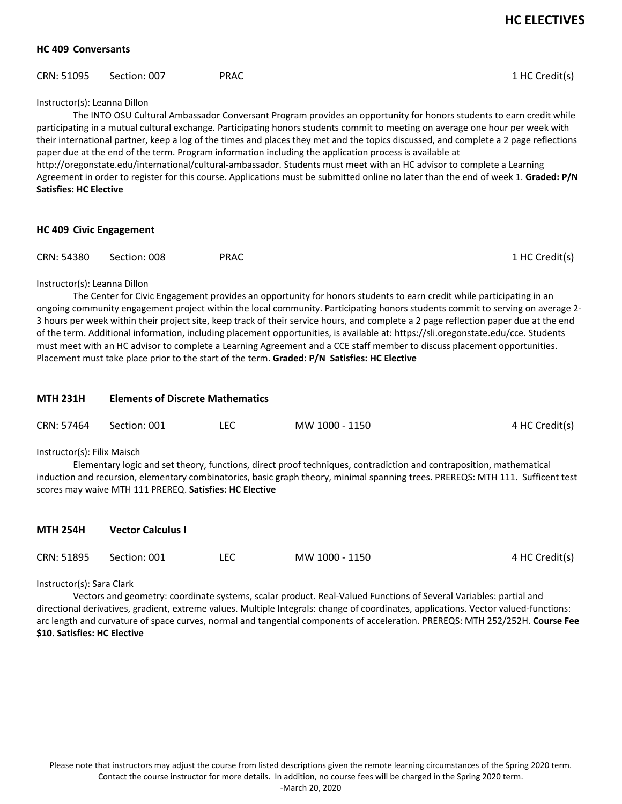### **HC 409 Conversants**

| CRN: 51095 Section: 007 | PRAC | 1 HC Credit(s) |
|-------------------------|------|----------------|
|                         |      |                |

#### Instructor(s): Leanna Dillon

The INTO OSU Cultural Ambassador Conversant Program provides an opportunity for honors students to earn credit while participating in a mutual cultural exchange. Participating honors students commit to meeting on average one hour per week with their international partner, keep a log of the times and places they met and the topics discussed, and complete a 2 page reflections paper due at the end of the term. Program information including the application process is available at http://oregonstate.edu/international/cultural-ambassador. Students must meet with an HC advisor to complete a Learning Agreement in order to register for this course. Applications must be submitted online no later than the end of week 1. **Graded: P/N Satisfies: HC Elective** 

| <b>HC 409 Civic Engagement</b> |              |             |                |  |  |
|--------------------------------|--------------|-------------|----------------|--|--|
| CRN: 54380                     | Section: 008 | <b>PRAC</b> | 1 HC Credit(s) |  |  |

#### Instructor(s): Leanna Dillon

The Center for Civic Engagement provides an opportunity for honors students to earn credit while participating in an ongoing community engagement project within the local community. Participating honors students commit to serving on average 2- 3 hours per week within their project site, keep track of their service hours, and complete a 2 page reflection paper due at the end of the term. Additional information, including placement opportunities, is available at: https://sli.oregonstate.edu/cce. Students must meet with an HC advisor to complete a Learning Agreement and a CCE staff member to discuss placement opportunities. Placement must take place prior to the start of the term. **Graded: P/N Satisfies: HC Elective** 

| <b>MTH 231H</b> | <b>Elements of Discrete Mathematics</b>                                                                                                                                                                                                                                                                                                          |            |                |                |  |  |  |  |  |
|-----------------|--------------------------------------------------------------------------------------------------------------------------------------------------------------------------------------------------------------------------------------------------------------------------------------------------------------------------------------------------|------------|----------------|----------------|--|--|--|--|--|
| CRN: 57464      | Section: 001                                                                                                                                                                                                                                                                                                                                     | <b>LEC</b> | MW 1000 - 1150 | 4 HC Credit(s) |  |  |  |  |  |
|                 | Instructor(s): Filix Maisch<br>Elementary logic and set theory, functions, direct proof techniques, contradiction and contraposition, mathematical<br>induction and recursion, elementary combinatorics, basic graph theory, minimal spanning trees. PREREQS: MTH 111. Sufficent test<br>scores may waive MTH 111 PREREQ. Satisfies: HC Elective |            |                |                |  |  |  |  |  |
| <b>MTH 254H</b> | <b>Vector Calculus I</b>                                                                                                                                                                                                                                                                                                                         |            |                |                |  |  |  |  |  |
| CRN: 51895      | Section: 001                                                                                                                                                                                                                                                                                                                                     | <b>LEC</b> | MW 1000 - 1150 | 4 HC Credit(s) |  |  |  |  |  |

Instructor(s): Sara Clark

Vectors and geometry: coordinate systems, scalar product. Real-Valued Functions of Several Variables: partial and directional derivatives, gradient, extreme values. Multiple Integrals: change of coordinates, applications. Vector valued-functions: arc length and curvature of space curves, normal and tangential components of acceleration. PREREQS: MTH 252/252H. **Course Fee \$10. Satisfies: HC Elective**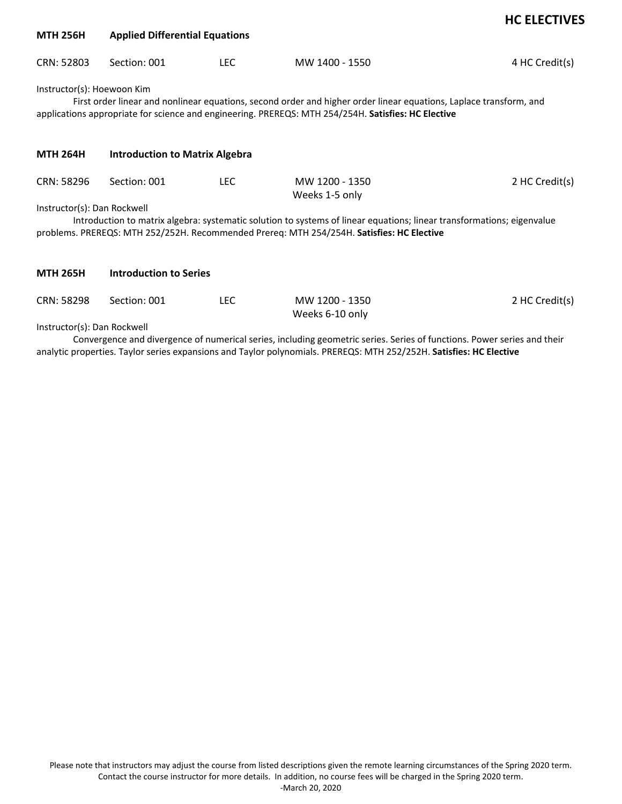| <b>MTH 256H</b>                                                                                                                                                                                                                                         | <b>Applied Differential Equations</b> |      |                                  |                |  |  |
|---------------------------------------------------------------------------------------------------------------------------------------------------------------------------------------------------------------------------------------------------------|---------------------------------------|------|----------------------------------|----------------|--|--|
| CRN: 52803                                                                                                                                                                                                                                              | Section: 001                          | LEC. | MW 1400 - 1550                   | 4 HC Credit(s) |  |  |
| Instructor(s): Hoewoon Kim<br>First order linear and nonlinear equations, second order and higher order linear equations, Laplace transform, and<br>applications appropriate for science and engineering. PREREQS: MTH 254/254H. Satisfies: HC Elective |                                       |      |                                  |                |  |  |
| <b>MTH 264H</b>                                                                                                                                                                                                                                         | <b>Introduction to Matrix Algebra</b> |      |                                  |                |  |  |
| CRN: 58296                                                                                                                                                                                                                                              | Section: 001                          | LEC. | MW 1200 - 1350<br>Weeks 1-5 only | 2 HC Credit(s) |  |  |
| Instructor(s): Dan Rockwell                                                                                                                                                                                                                             |                                       |      |                                  |                |  |  |
| Introduction to matrix algebra: systematic solution to systems of linear equations; linear transformations; eigenvalue<br>problems. PREREQS: MTH 252/252H. Recommended Prereq: MTH 254/254H. Satisfies: HC Elective                                     |                                       |      |                                  |                |  |  |
| <b>MTH 265H</b>                                                                                                                                                                                                                                         | <b>Introduction to Series</b>         |      |                                  |                |  |  |

| CRN: 58298 Section: 001 | MW 1200 - 1350  | 2 HC Credit(s) |
|-------------------------|-----------------|----------------|
|                         | Weeks 6-10 only |                |

Instructor(s): Dan Rockwell

Convergence and divergence of numerical series, including geometric series. Series of functions. Power series and their analytic properties. Taylor series expansions and Taylor polynomials. PREREQS: MTH 252/252H. **Satisfies: HC Elective**